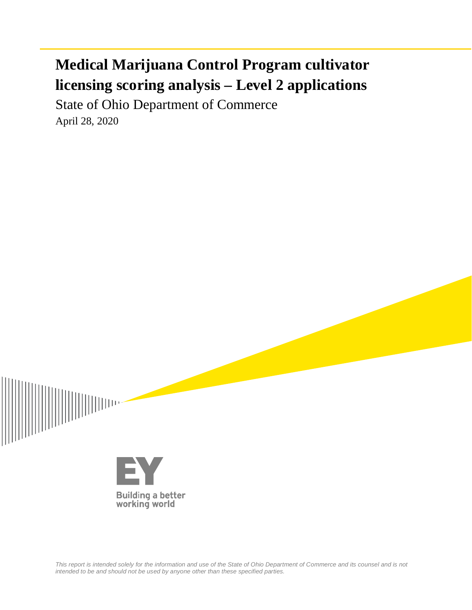# **Medical Marijuana Control Program cultivator licensing scoring analysis – Level 2 applications**

State of Ohio Department of Commerce April 28, 2020



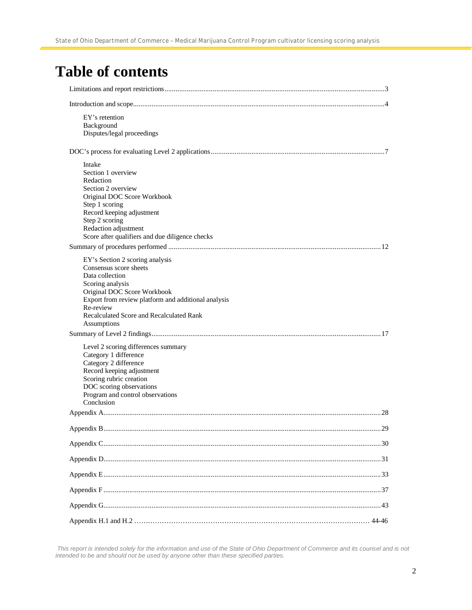# **Table of contents**

| EY's retention<br>Background<br>Disputes/legal proceedings                                                                                                                                                                                                     |
|----------------------------------------------------------------------------------------------------------------------------------------------------------------------------------------------------------------------------------------------------------------|
|                                                                                                                                                                                                                                                                |
| Intake<br>Section 1 overview<br>Redaction<br>Section 2 overview<br>Original DOC Score Workbook<br>Step 1 scoring<br>Record keeping adjustment<br>Step 2 scoring<br>Redaction adjustment<br>Score after qualifiers and due diligence checks                     |
|                                                                                                                                                                                                                                                                |
| EY's Section 2 scoring analysis<br>Consensus score sheets<br>Data collection<br>Scoring analysis<br>Original DOC Score Workbook<br>Export from review platform and additional analysis<br>Re-review<br>Recalculated Score and Recalculated Rank<br>Assumptions |
|                                                                                                                                                                                                                                                                |
| Level 2 scoring differences summary<br>Category 1 difference<br>Category 2 difference<br>Record keeping adjustment<br>Scoring rubric creation<br>DOC scoring observations<br>Program and control observations<br>Conclusion                                    |
|                                                                                                                                                                                                                                                                |
|                                                                                                                                                                                                                                                                |
|                                                                                                                                                                                                                                                                |
|                                                                                                                                                                                                                                                                |
|                                                                                                                                                                                                                                                                |
|                                                                                                                                                                                                                                                                |
|                                                                                                                                                                                                                                                                |
|                                                                                                                                                                                                                                                                |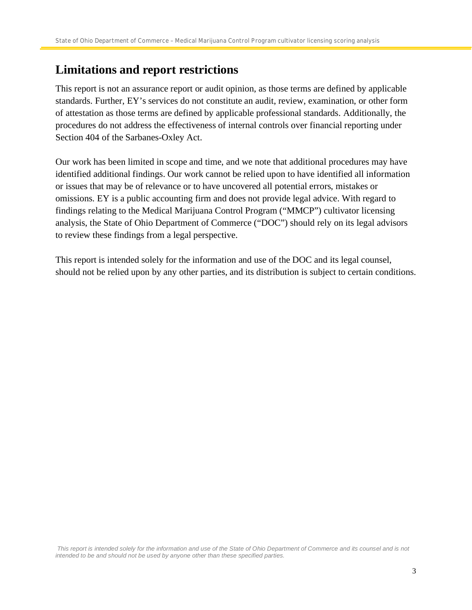## **Limitations and report restrictions**

This report is not an assurance report or audit opinion, as those terms are defined by applicable standards. Further, EY's services do not constitute an audit, review, examination, or other form of attestation as those terms are defined by applicable professional standards. Additionally, the procedures do not address the effectiveness of internal controls over financial reporting under Section 404 of the Sarbanes-Oxley Act.

Our work has been limited in scope and time, and we note that additional procedures may have identified additional findings. Our work cannot be relied upon to have identified all information or issues that may be of relevance or to have uncovered all potential errors, mistakes or omissions. EY is a public accounting firm and does not provide legal advice. With regard to findings relating to the Medical Marijuana Control Program ("MMCP") cultivator licensing analysis, the State of Ohio Department of Commerce ("DOC") should rely on its legal advisors to review these findings from a legal perspective.

This report is intended solely for the information and use of the DOC and its legal counsel, should not be relied upon by any other parties, and its distribution is subject to certain conditions.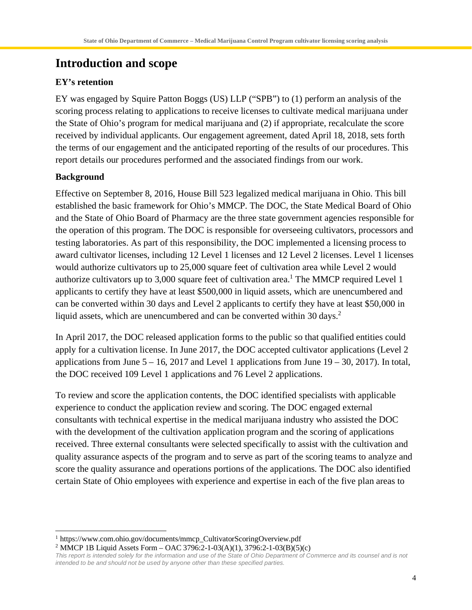# **Introduction and scope**

### **EY's retention**

EY was engaged by Squire Patton Boggs (US) LLP ("SPB") to (1) perform an analysis of the scoring process relating to applications to receive licenses to cultivate medical marijuana under the State of Ohio's program for medical marijuana and (2) if appropriate, recalculate the score received by individual applicants. Our engagement agreement, dated April 18, 2018, sets forth the terms of our engagement and the anticipated reporting of the results of our procedures. This report details our procedures performed and the associated findings from our work.

#### **Background**

Effective on September 8, 2016, House Bill 523 legalized medical marijuana in Ohio. This bill established the basic framework for Ohio's MMCP. The DOC, the State Medical Board of Ohio and the State of Ohio Board of Pharmacy are the three state government agencies responsible for the operation of this program. The DOC is responsible for overseeing cultivators, processors and testing laboratories. As part of this responsibility, the DOC implemented a licensing process to award cultivator licenses, including 12 Level 1 licenses and 12 Level 2 licenses. Level 1 licenses would authorize cultivators up to 25,000 square feet of cultivation area while Level 2 would authorize cultivators up to  $3,000$  square feet of cultivation area.<sup>1</sup> The MMCP required Level 1 applicants to certify they have at least \$500,000 in liquid assets, which are unencumbered and can be converted within 30 days and Level 2 applicants to certify they have at least \$50,000 in liquid assets, which are unencumbered and can be converted within 30 days.<sup>2</sup>

In April 2017, the DOC released application forms to the public so that qualified entities could apply for a cultivation license. In June 2017, the DOC accepted cultivator applications (Level 2 applications from June  $5 - 16$ , 2017 and Level 1 applications from June  $19 - 30$ , 2017). In total, the DOC received 109 Level 1 applications and 76 Level 2 applications.

To review and score the application contents, the DOC identified specialists with applicable experience to conduct the application review and scoring. The DOC engaged external consultants with technical expertise in the medical marijuana industry who assisted the DOC with the development of the cultivation application program and the scoring of applications received. Three external consultants were selected specifically to assist with the cultivation and quality assurance aspects of the program and to serve as part of the scoring teams to analyze and score the quality assurance and operations portions of the applications. The DOC also identified certain State of Ohio employees with experience and expertise in each of the five plan areas to

2 MMCP 1B Liquid Assets Form – OAC 3796:2-1-03(A)(1), 3796:2-1-03(B)(5)(c)

<sup>&</sup>lt;sup>1</sup> https://www.com.ohio.gov/documents/mmcp\_CultivatorScoringOverview.pdf

*This report is intended solely for the information and use of the State of Ohio Department of Commerce and its counsel and is not intended to be and should not be used by anyone other than these specified parties.*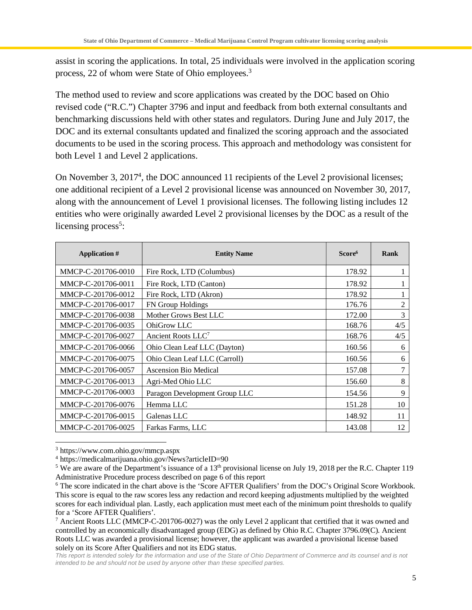assist in scoring the applications. In total, 25 individuals were involved in the application scoring process, 22 of whom were State of Ohio employees.<sup>3</sup>

The method used to review and score applications was created by the DOC based on Ohio revised code ("R.C.") Chapter 3796 and input and feedback from both external consultants and benchmarking discussions held with other states and regulators. During June and July 2017, the DOC and its external consultants updated and finalized the scoring approach and the associated documents to be used in the scoring process. This approach and methodology was consistent for both Level 1 and Level 2 applications.

On November 3, 2017<sup>4</sup>, the DOC announced 11 recipients of the Level 2 provisional licenses; one additional recipient of a Level 2 provisional license was announced on November 30, 2017, along with the announcement of Level 1 provisional licenses. The following listing includes 12 entities who were originally awarded Level 2 provisional licenses by the DOC as a result of the licensing process<sup>5</sup>:

| Application #      | <b>Entity Name</b>             | Score <sup>6</sup> | Rank |
|--------------------|--------------------------------|--------------------|------|
| MMCP-C-201706-0010 | Fire Rock, LTD (Columbus)      | 178.92             |      |
| MMCP-C-201706-0011 | Fire Rock, LTD (Canton)        | 178.92             |      |
| MMCP-C-201706-0012 | Fire Rock, LTD (Akron)         | 178.92             |      |
| MMCP-C-201706-0017 | FN Group Holdings              | 176.76             | 2    |
| MMCP-C-201706-0038 | Mother Grows Best LLC          | 172.00             | 3    |
| MMCP-C-201706-0035 | OhiGrow LLC                    | 168.76             | 4/5  |
| MMCP-C-201706-0027 | Ancient Roots LLC <sup>7</sup> | 168.76             | 4/5  |
| MMCP-C-201706-0066 | Ohio Clean Leaf LLC (Dayton)   | 160.56             | 6    |
| MMCP-C-201706-0075 | Ohio Clean Leaf LLC (Carroll)  | 160.56             | 6    |
| MMCP-C-201706-0057 | <b>Ascension Bio Medical</b>   | 157.08             | 7    |
| MMCP-C-201706-0013 | Agri-Med Ohio LLC              | 156.60             | 8    |
| MMCP-C-201706-0003 | Paragon Development Group LLC  | 154.56             | 9    |
| MMCP-C-201706-0076 | Hemma LLC                      | 151.28             | 10   |
| MMCP-C-201706-0015 | Galenas LLC                    | 148.92             | 11   |
| MMCP-C-201706-0025 | Farkas Farms, LLC              | 143.08             | 12   |

<sup>3</sup> https://www.com.ohio.gov/mmcp.aspx

<sup>4</sup> https://medicalmarijuana.ohio.gov/News?articleID=90

<sup>&</sup>lt;sup>5</sup> We are aware of the Department's issuance of a 13<sup>th</sup> provisional license on July 19, 2018 per the R.C. Chapter 119 Administrative Procedure process described on page 6 of this report

<sup>&</sup>lt;sup>6</sup> The score indicated in the chart above is the 'Score AFTER Qualifiers' from the DOC's Original Score Workbook. This score is equal to the raw scores less any redaction and record keeping adjustments multiplied by the weighted scores for each individual plan. Lastly, each application must meet each of the minimum point thresholds to qualify for a 'Score AFTER Qualifiers'.

<sup>&</sup>lt;sup>7</sup> Ancient Roots LLC (MMCP-C-201706-0027) was the only Level 2 applicant that certified that it was owned and controlled by an economically disadvantaged group (EDG) as defined by Ohio R.C. Chapter 3796.09(C). Ancient Roots LLC was awarded a provisional license; however, the applicant was awarded a provisional license based solely on its Score After Qualifiers and not its EDG status.

*This report is intended solely for the information and use of the State of Ohio Department of Commerce and its counsel and is not intended to be and should not be used by anyone other than these specified parties.*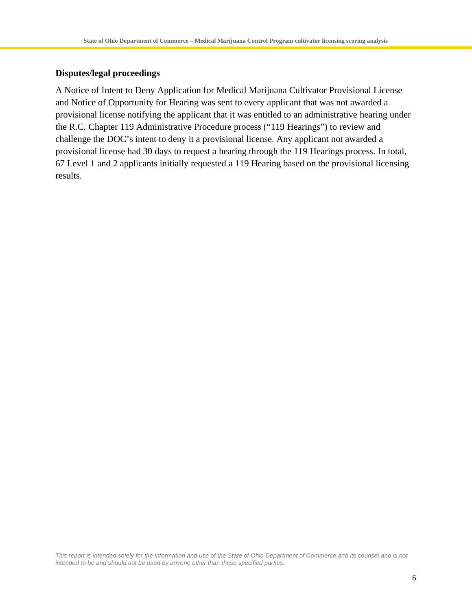#### **Disputes/legal proceedings**

A Notice of Intent to Deny Application for Medical Marijuana Cultivator Provisional License and Notice of Opportunity for Hearing was sent to every applicant that was not awarded a provisional license notifying the applicant that it was entitled to an administrative hearing under the R.C. Chapter 119 Administrative Procedure process ("119 Hearings") to review and challenge the DOC's intent to deny it a provisional license. Any applicant not awarded a provisional license had 30 days to request a hearing through the 119 Hearings process. In total, 67 Level 1 and 2 applicants initially requested a 119 Hearing based on the provisional licensing results.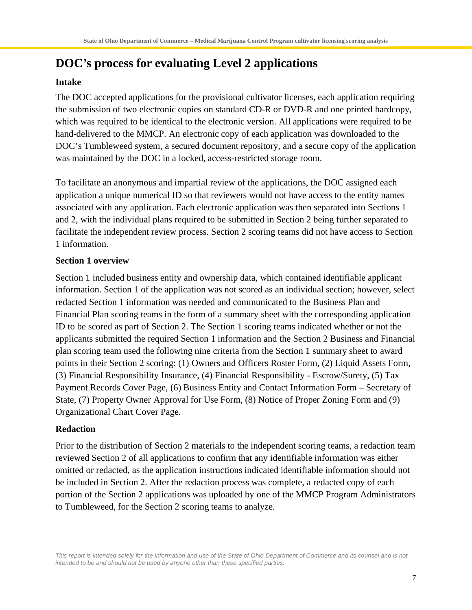# **DOC's process for evaluating Level 2 applications**

#### **Intake**

The DOC accepted applications for the provisional cultivator licenses, each application requiring the submission of two electronic copies on standard CD-R or DVD-R and one printed hardcopy, which was required to be identical to the electronic version. All applications were required to be hand-delivered to the MMCP. An electronic copy of each application was downloaded to the DOC's Tumbleweed system, a secured document repository, and a secure copy of the application was maintained by the DOC in a locked, access-restricted storage room.

To facilitate an anonymous and impartial review of the applications, the DOC assigned each application a unique numerical ID so that reviewers would not have access to the entity names associated with any application. Each electronic application was then separated into Sections 1 and 2, with the individual plans required to be submitted in Section 2 being further separated to facilitate the independent review process. Section 2 scoring teams did not have access to Section 1 information.

### **Section 1 overview**

Section 1 included business entity and ownership data, which contained identifiable applicant information. Section 1 of the application was not scored as an individual section; however, select redacted Section 1 information was needed and communicated to the Business Plan and Financial Plan scoring teams in the form of a summary sheet with the corresponding application ID to be scored as part of Section 2. The Section 1 scoring teams indicated whether or not the applicants submitted the required Section 1 information and the Section 2 Business and Financial plan scoring team used the following nine criteria from the Section 1 summary sheet to award points in their Section 2 scoring: (1) Owners and Officers Roster Form, (2) Liquid Assets Form, (3) Financial Responsibility Insurance, (4) Financial Responsibility - Escrow/Surety, (5) Tax Payment Records Cover Page, (6) Business Entity and Contact Information Form – Secretary of State, (7) Property Owner Approval for Use Form, (8) Notice of Proper Zoning Form and (9) Organizational Chart Cover Page.

#### **Redaction**

Prior to the distribution of Section 2 materials to the independent scoring teams, a redaction team reviewed Section 2 of all applications to confirm that any identifiable information was either omitted or redacted, as the application instructions indicated identifiable information should not be included in Section 2. After the redaction process was complete, a redacted copy of each portion of the Section 2 applications was uploaded by one of the MMCP Program Administrators to Tumbleweed, for the Section 2 scoring teams to analyze.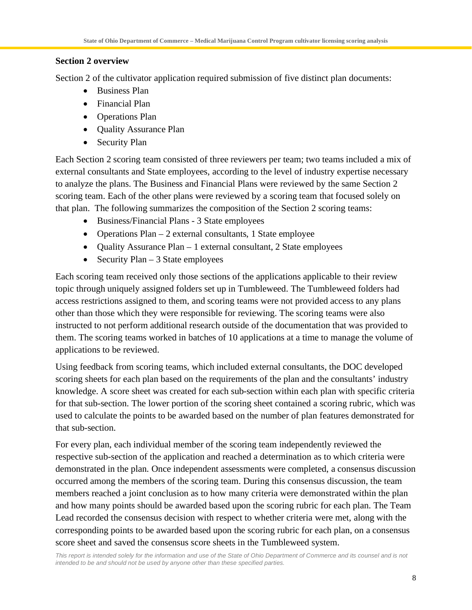#### **Section 2 overview**

Section 2 of the cultivator application required submission of five distinct plan documents:

- Business Plan
- · Financial Plan
- Operations Plan
- Quality Assurance Plan
- Security Plan

Each Section 2 scoring team consisted of three reviewers per team; two teams included a mix of external consultants and State employees, according to the level of industry expertise necessary to analyze the plans. The Business and Financial Plans were reviewed by the same Section 2 scoring team. Each of the other plans were reviewed by a scoring team that focused solely on that plan. The following summarizes the composition of the Section 2 scoring teams:

- · Business/Financial Plans 3 State employees
- Operations Plan 2 external consultants, 1 State employee
- Quality Assurance Plan 1 external consultant, 2 State employees
- Security Plan  $-3$  State employees

Each scoring team received only those sections of the applications applicable to their review topic through uniquely assigned folders set up in Tumbleweed. The Tumbleweed folders had access restrictions assigned to them, and scoring teams were not provided access to any plans other than those which they were responsible for reviewing. The scoring teams were also instructed to not perform additional research outside of the documentation that was provided to them. The scoring teams worked in batches of 10 applications at a time to manage the volume of applications to be reviewed.

Using feedback from scoring teams, which included external consultants, the DOC developed scoring sheets for each plan based on the requirements of the plan and the consultants' industry knowledge. A score sheet was created for each sub-section within each plan with specific criteria for that sub-section. The lower portion of the scoring sheet contained a scoring rubric, which was used to calculate the points to be awarded based on the number of plan features demonstrated for that sub-section.

For every plan, each individual member of the scoring team independently reviewed the respective sub-section of the application and reached a determination as to which criteria were demonstrated in the plan. Once independent assessments were completed, a consensus discussion occurred among the members of the scoring team. During this consensus discussion, the team members reached a joint conclusion as to how many criteria were demonstrated within the plan and how many points should be awarded based upon the scoring rubric for each plan. The Team Lead recorded the consensus decision with respect to whether criteria were met, along with the corresponding points to be awarded based upon the scoring rubric for each plan, on a consensus score sheet and saved the consensus score sheets in the Tumbleweed system.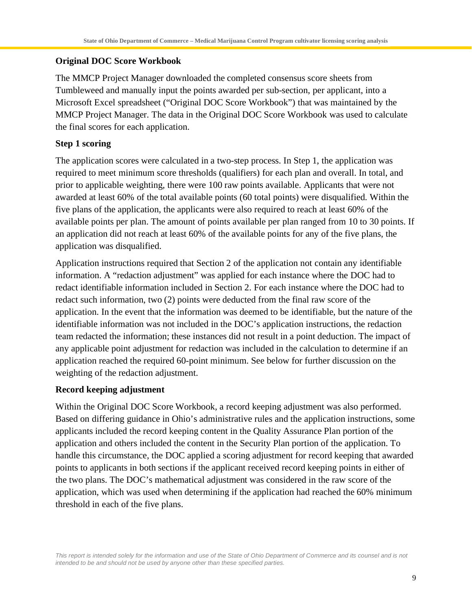#### **Original DOC Score Workbook**

The MMCP Project Manager downloaded the completed consensus score sheets from Tumbleweed and manually input the points awarded per sub-section, per applicant, into a Microsoft Excel spreadsheet ("Original DOC Score Workbook") that was maintained by the MMCP Project Manager. The data in the Original DOC Score Workbook was used to calculate the final scores for each application.

#### **Step 1 scoring**

The application scores were calculated in a two-step process. In Step 1, the application was required to meet minimum score thresholds (qualifiers) for each plan and overall. In total, and prior to applicable weighting, there were 100 raw points available. Applicants that were not awarded at least 60% of the total available points (60 total points) were disqualified. Within the five plans of the application, the applicants were also required to reach at least 60% of the available points per plan. The amount of points available per plan ranged from 10 to 30 points. If an application did not reach at least 60% of the available points for any of the five plans, the application was disqualified.

Application instructions required that Section 2 of the application not contain any identifiable information. A "redaction adjustment" was applied for each instance where the DOC had to redact identifiable information included in Section 2. For each instance where the DOC had to redact such information, two (2) points were deducted from the final raw score of the application. In the event that the information was deemed to be identifiable, but the nature of the identifiable information was not included in the DOC's application instructions, the redaction team redacted the information; these instances did not result in a point deduction. The impact of any applicable point adjustment for redaction was included in the calculation to determine if an application reached the required 60-point minimum. See below for further discussion on the weighting of the redaction adjustment.

#### **Record keeping adjustment**

Within the Original DOC Score Workbook, a record keeping adjustment was also performed. Based on differing guidance in Ohio's administrative rules and the application instructions, some applicants included the record keeping content in the Quality Assurance Plan portion of the application and others included the content in the Security Plan portion of the application. To handle this circumstance, the DOC applied a scoring adjustment for record keeping that awarded points to applicants in both sections if the applicant received record keeping points in either of the two plans. The DOC's mathematical adjustment was considered in the raw score of the application, which was used when determining if the application had reached the 60% minimum threshold in each of the five plans.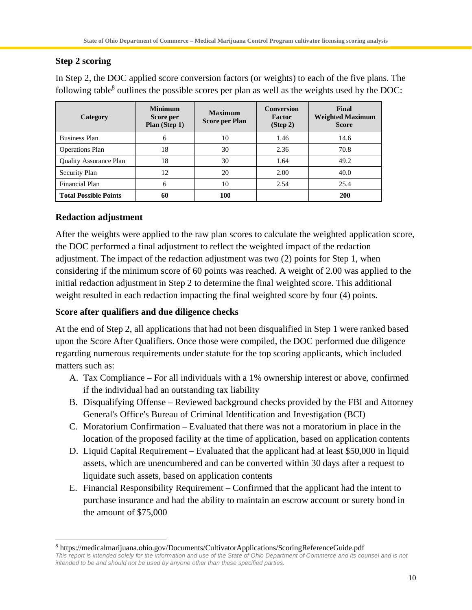### **Step 2 scoring**

| Category                      | <b>Minimum</b><br>Score per<br>Plan (Step 1) | <b>Maximum</b><br><b>Score per Plan</b> | <b>Conversion</b><br>Factor<br>(Stop 2) | Final<br><b>Weighted Maximum</b><br><b>Score</b> |
|-------------------------------|----------------------------------------------|-----------------------------------------|-----------------------------------------|--------------------------------------------------|
| <b>Business Plan</b>          | 6                                            | 10                                      | 1.46                                    | 14.6                                             |
| <b>Operations Plan</b>        | 18                                           | 30                                      | 2.36                                    | 70.8                                             |
| <b>Quality Assurance Plan</b> | 18                                           | 30                                      | 1.64                                    | 49.2                                             |
| Security Plan                 | 12                                           | 20                                      | 2.00                                    | 40.0                                             |
| Financial Plan                | 6                                            | 10                                      | 2.54                                    | 25.4                                             |
| <b>Total Possible Points</b>  | 60                                           | 100                                     |                                         | <b>200</b>                                       |

In Step 2, the DOC applied score conversion factors (or weights) to each of the five plans. The following table<sup>8</sup> outlines the possible scores per plan as well as the weights used by the DOC:

### **Redaction adjustment**

After the weights were applied to the raw plan scores to calculate the weighted application score, the DOC performed a final adjustment to reflect the weighted impact of the redaction adjustment. The impact of the redaction adjustment was two (2) points for Step 1, when considering if the minimum score of 60 points was reached. A weight of 2.00 was applied to the initial redaction adjustment in Step 2 to determine the final weighted score. This additional weight resulted in each redaction impacting the final weighted score by four (4) points.

### **Score after qualifiers and due diligence checks**

At the end of Step 2, all applications that had not been disqualified in Step 1 were ranked based upon the Score After Qualifiers. Once those were compiled, the DOC performed due diligence regarding numerous requirements under statute for the top scoring applicants, which included matters such as:

- A. Tax Compliance For all individuals with a 1% ownership interest or above, confirmed if the individual had an outstanding tax liability
- B. Disqualifying Offense Reviewed background checks provided by the FBI and Attorney General's Office's Bureau of Criminal Identification and Investigation (BCI)
- C. Moratorium Confirmation Evaluated that there was not a moratorium in place in the location of the proposed facility at the time of application, based on application contents
- D. Liquid Capital Requirement Evaluated that the applicant had at least \$50,000 in liquid assets, which are unencumbered and can be converted within 30 days after a request to liquidate such assets, based on application contents
- E. Financial Responsibility Requirement Confirmed that the applicant had the intent to purchase insurance and had the ability to maintain an escrow account or surety bond in the amount of \$75,000

<sup>&</sup>lt;sup>8</sup> https://medicalmarijuana.ohio.gov/Documents/CultivatorApplications/ScoringReferenceGuide.pdf

*This report is intended solely for the information and use of the State of Ohio Department of Commerce and its counsel and is not intended to be and should not be used by anyone other than these specified parties.*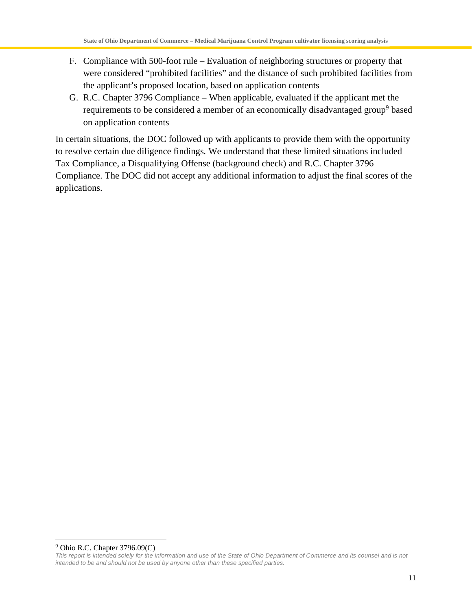- F. Compliance with 500-foot rule Evaluation of neighboring structures or property that were considered "prohibited facilities" and the distance of such prohibited facilities from the applicant's proposed location, based on application contents
- G. R.C. Chapter 3796 Compliance When applicable, evaluated if the applicant met the requirements to be considered a member of an economically disadvantaged group<sup>9</sup> based on application contents

In certain situations, the DOC followed up with applicants to provide them with the opportunity to resolve certain due diligence findings. We understand that these limited situations included Tax Compliance, a Disqualifying Offense (background check) and R.C. Chapter 3796 Compliance. The DOC did not accept any additional information to adjust the final scores of the applications.

<sup>&</sup>lt;sup>9</sup> Ohio R.C. Chapter 3796.09(C)

*This report is intended solely for the information and use of the State of Ohio Department of Commerce and its counsel and is not intended to be and should not be used by anyone other than these specified parties.*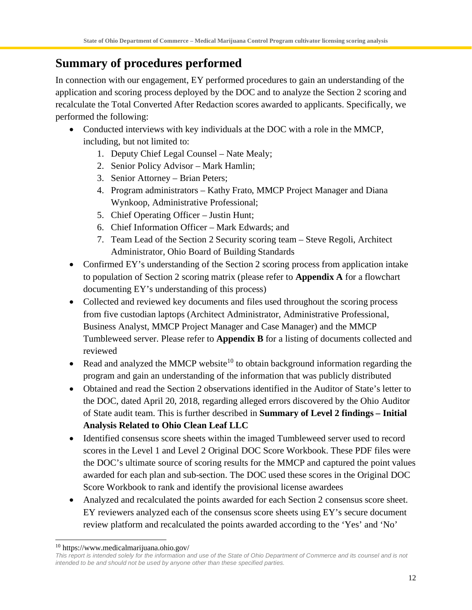# **Summary of procedures performed**

In connection with our engagement, EY performed procedures to gain an understanding of the application and scoring process deployed by the DOC and to analyze the Section 2 scoring and recalculate the Total Converted After Redaction scores awarded to applicants. Specifically, we performed the following:

- Conducted interviews with key individuals at the DOC with a role in the MMCP, including, but not limited to:
	- 1. Deputy Chief Legal Counsel Nate Mealy;
	- 2. Senior Policy Advisor Mark Hamlin;
	- 3. Senior Attorney Brian Peters;
	- 4. Program administrators Kathy Frato, MMCP Project Manager and Diana Wynkoop, Administrative Professional;
	- 5. Chief Operating Officer Justin Hunt;
	- 6. Chief Information Officer Mark Edwards; and
	- 7. Team Lead of the Section 2 Security scoring team Steve Regoli, Architect Administrator, Ohio Board of Building Standards
- Confirmed EY's understanding of the Section 2 scoring process from application intake to population of Section 2 scoring matrix (please refer to **Appendix A** for a flowchart documenting EY's understanding of this process)
- Collected and reviewed key documents and files used throughout the scoring process from five custodian laptops (Architect Administrator, Administrative Professional, Business Analyst, MMCP Project Manager and Case Manager) and the MMCP Tumbleweed server. Please refer to **Appendix B** for a listing of documents collected and reviewed
- Read and analyzed the MMCP website<sup>10</sup> to obtain background information regarding the program and gain an understanding of the information that was publicly distributed
- Obtained and read the Section 2 observations identified in the Auditor of State's letter to the DOC, dated April 20, 2018, regarding alleged errors discovered by the Ohio Auditor of State audit team. This is further described in **Summary of Level 2 findings – Initial Analysis Related to Ohio Clean Leaf LLC**
- · Identified consensus score sheets within the imaged Tumbleweed server used to record scores in the Level 1 and Level 2 Original DOC Score Workbook. These PDF files were the DOC's ultimate source of scoring results for the MMCP and captured the point values awarded for each plan and sub-section. The DOC used these scores in the Original DOC Score Workbook to rank and identify the provisional license awardees
- Analyzed and recalculated the points awarded for each Section 2 consensus score sheet. EY reviewers analyzed each of the consensus score sheets using EY's secure document review platform and recalculated the points awarded according to the 'Yes' and 'No'

<sup>10</sup> https://www.medicalmarijuana.ohio.gov/

*This report is intended solely for the information and use of the State of Ohio Department of Commerce and its counsel and is not intended to be and should not be used by anyone other than these specified parties.*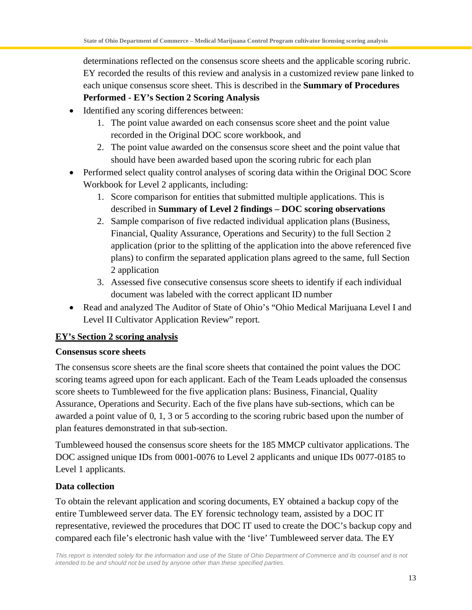determinations reflected on the consensus score sheets and the applicable scoring rubric. EY recorded the results of this review and analysis in a customized review pane linked to each unique consensus score sheet. This is described in the **Summary of Procedures**

### **Performed - EY's Section 2 Scoring Analysis**

- · Identified any scoring differences between:
	- 1. The point value awarded on each consensus score sheet and the point value recorded in the Original DOC score workbook, and
	- 2. The point value awarded on the consensus score sheet and the point value that should have been awarded based upon the scoring rubric for each plan
- Performed select quality control analyses of scoring data within the Original DOC Score Workbook for Level 2 applicants, including:
	- 1. Score comparison for entities that submitted multiple applications. This is described in **Summary of Level 2 findings – DOC scoring observations**
	- 2. Sample comparison of five redacted individual application plans (Business, Financial, Quality Assurance, Operations and Security) to the full Section 2 application (prior to the splitting of the application into the above referenced five plans) to confirm the separated application plans agreed to the same, full Section 2 application
	- 3. Assessed five consecutive consensus score sheets to identify if each individual document was labeled with the correct applicant ID number
- · Read and analyzed The Auditor of State of Ohio's "Ohio Medical Marijuana Level I and Level II Cultivator Application Review" report.

### **EY's Section 2 scoring analysis**

#### **Consensus score sheets**

The consensus score sheets are the final score sheets that contained the point values the DOC scoring teams agreed upon for each applicant. Each of the Team Leads uploaded the consensus score sheets to Tumbleweed for the five application plans: Business, Financial, Quality Assurance, Operations and Security. Each of the five plans have sub-sections, which can be awarded a point value of 0, 1, 3 or 5 according to the scoring rubric based upon the number of plan features demonstrated in that sub-section.

Tumbleweed housed the consensus score sheets for the 185 MMCP cultivator applications. The DOC assigned unique IDs from 0001-0076 to Level 2 applicants and unique IDs 0077-0185 to Level 1 applicants.

### **Data collection**

To obtain the relevant application and scoring documents, EY obtained a backup copy of the entire Tumbleweed server data. The EY forensic technology team, assisted by a DOC IT representative, reviewed the procedures that DOC IT used to create the DOC's backup copy and compared each file's electronic hash value with the 'live' Tumbleweed server data. The EY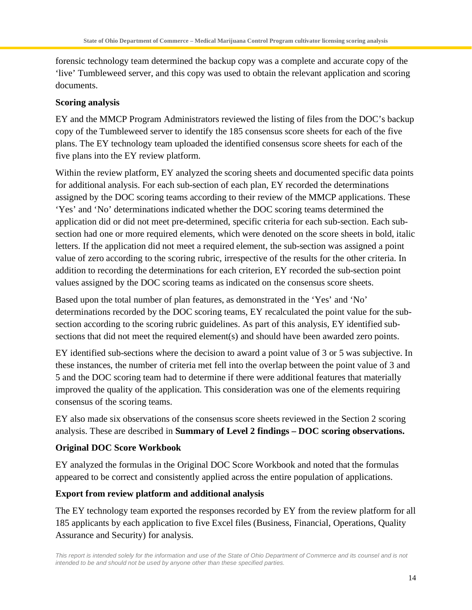forensic technology team determined the backup copy was a complete and accurate copy of the 'live' Tumbleweed server, and this copy was used to obtain the relevant application and scoring documents.

#### **Scoring analysis**

EY and the MMCP Program Administrators reviewed the listing of files from the DOC's backup copy of the Tumbleweed server to identify the 185 consensus score sheets for each of the five plans. The EY technology team uploaded the identified consensus score sheets for each of the five plans into the EY review platform.

Within the review platform, EY analyzed the scoring sheets and documented specific data points for additional analysis. For each sub-section of each plan, EY recorded the determinations assigned by the DOC scoring teams according to their review of the MMCP applications. These 'Yes' and 'No' determinations indicated whether the DOC scoring teams determined the application did or did not meet pre-determined, specific criteria for each sub-section. Each subsection had one or more required elements, which were denoted on the score sheets in bold, italic letters. If the application did not meet a required element, the sub-section was assigned a point value of zero according to the scoring rubric, irrespective of the results for the other criteria. In addition to recording the determinations for each criterion, EY recorded the sub-section point values assigned by the DOC scoring teams as indicated on the consensus score sheets.

Based upon the total number of plan features, as demonstrated in the 'Yes' and 'No' determinations recorded by the DOC scoring teams, EY recalculated the point value for the subsection according to the scoring rubric guidelines. As part of this analysis, EY identified subsections that did not meet the required element(s) and should have been awarded zero points.

EY identified sub-sections where the decision to award a point value of 3 or 5 was subjective. In these instances, the number of criteria met fell into the overlap between the point value of 3 and 5 and the DOC scoring team had to determine if there were additional features that materially improved the quality of the application. This consideration was one of the elements requiring consensus of the scoring teams.

EY also made six observations of the consensus score sheets reviewed in the Section 2 scoring analysis. These are described in **Summary of Level 2 findings – DOC scoring observations.**

### **Original DOC Score Workbook**

EY analyzed the formulas in the Original DOC Score Workbook and noted that the formulas appeared to be correct and consistently applied across the entire population of applications.

### **Export from review platform and additional analysis**

The EY technology team exported the responses recorded by EY from the review platform for all 185 applicants by each application to five Excel files (Business, Financial, Operations, Quality Assurance and Security) for analysis.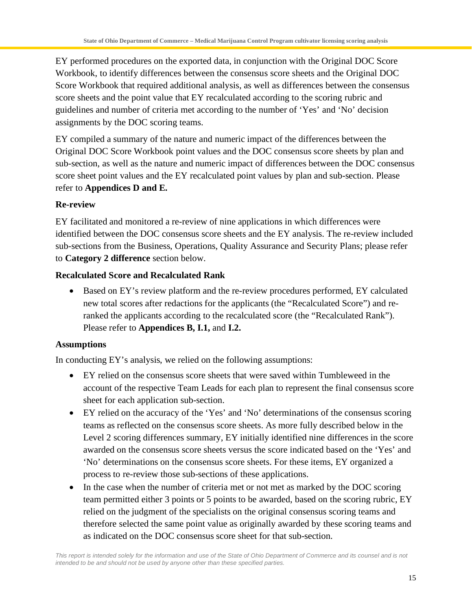EY performed procedures on the exported data, in conjunction with the Original DOC Score Workbook, to identify differences between the consensus score sheets and the Original DOC Score Workbook that required additional analysis, as well as differences between the consensus score sheets and the point value that EY recalculated according to the scoring rubric and guidelines and number of criteria met according to the number of 'Yes' and 'No' decision assignments by the DOC scoring teams.

EY compiled a summary of the nature and numeric impact of the differences between the Original DOC Score Workbook point values and the DOC consensus score sheets by plan and sub-section, as well as the nature and numeric impact of differences between the DOC consensus score sheet point values and the EY recalculated point values by plan and sub-section. Please refer to **Appendices D and E.**

### **Re-review**

EY facilitated and monitored a re-review of nine applications in which differences were identified between the DOC consensus score sheets and the EY analysis. The re-review included sub-sections from the Business, Operations, Quality Assurance and Security Plans; please refer to **Category 2 difference** section below.

### **Recalculated Score and Recalculated Rank**

• Based on EY's review platform and the re-review procedures performed, EY calculated new total scores after redactions for the applicants (the "Recalculated Score") and reranked the applicants according to the recalculated score (the "Recalculated Rank"). Please refer to **Appendices B, I.1,** and **I.2.**

### **Assumptions**

In conducting EY's analysis, we relied on the following assumptions:

- · EY relied on the consensus score sheets that were saved within Tumbleweed in the account of the respective Team Leads for each plan to represent the final consensus score sheet for each application sub-section.
- · EY relied on the accuracy of the 'Yes' and 'No' determinations of the consensus scoring teams as reflected on the consensus score sheets. As more fully described below in the Level 2 scoring differences summary, EY initially identified nine differences in the score awarded on the consensus score sheets versus the score indicated based on the 'Yes' and 'No' determinations on the consensus score sheets. For these items, EY organized a process to re-review those sub-sections of these applications.
- In the case when the number of criteria met or not met as marked by the DOC scoring team permitted either 3 points or 5 points to be awarded, based on the scoring rubric, EY relied on the judgment of the specialists on the original consensus scoring teams and therefore selected the same point value as originally awarded by these scoring teams and as indicated on the DOC consensus score sheet for that sub-section.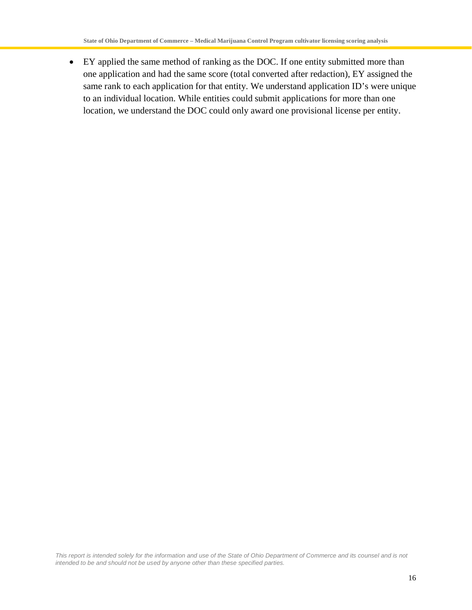· EY applied the same method of ranking as the DOC. If one entity submitted more than one application and had the same score (total converted after redaction), EY assigned the same rank to each application for that entity. We understand application ID's were unique to an individual location. While entities could submit applications for more than one location, we understand the DOC could only award one provisional license per entity.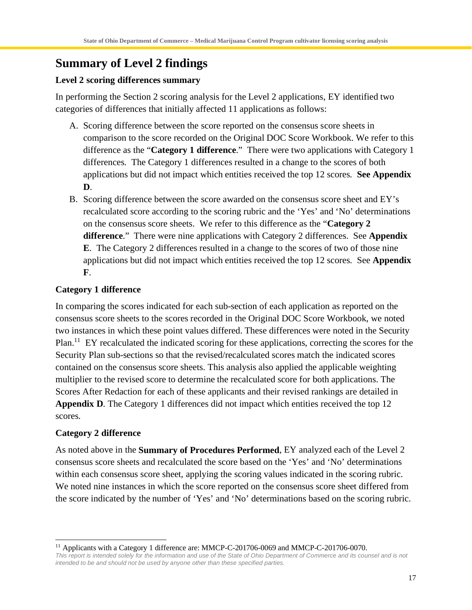# **Summary of Level 2 findings**

#### **Level 2 scoring differences summary**

In performing the Section 2 scoring analysis for the Level 2 applications, EY identified two categories of differences that initially affected 11 applications as follows:

- A. Scoring difference between the score reported on the consensus score sheets in comparison to the score recorded on the Original DOC Score Workbook. We refer to this difference as the "**Category 1 difference**." There were two applications with Category 1 differences. The Category 1 differences resulted in a change to the scores of both applications but did not impact which entities received the top 12 scores. **See Appendix D**.
- B. Scoring difference between the score awarded on the consensus score sheet and EY's recalculated score according to the scoring rubric and the 'Yes' and 'No' determinations on the consensus score sheets. We refer to this difference as the "**Category 2 difference**." There were nine applications with Category 2 differences. See **Appendix E**. The Category 2 differences resulted in a change to the scores of two of those nine applications but did not impact which entities received the top 12 scores. See **Appendix F**.

#### **Category 1 difference**

In comparing the scores indicated for each sub-section of each application as reported on the consensus score sheets to the scores recorded in the Original DOC Score Workbook, we noted two instances in which these point values differed. These differences were noted in the Security Plan.<sup>11</sup> EY recalculated the indicated scoring for these applications, correcting the scores for the Security Plan sub-sections so that the revised/recalculated scores match the indicated scores contained on the consensus score sheets. This analysis also applied the applicable weighting multiplier to the revised score to determine the recalculated score for both applications. The Scores After Redaction for each of these applicants and their revised rankings are detailed in **Appendix D**. The Category 1 differences did not impact which entities received the top 12 scores.

#### **Category 2 difference**

As noted above in the **Summary of Procedures Performed**, EY analyzed each of the Level 2 consensus score sheets and recalculated the score based on the 'Yes' and 'No' determinations within each consensus score sheet, applying the scoring values indicated in the scoring rubric. We noted nine instances in which the score reported on the consensus score sheet differed from the score indicated by the number of 'Yes' and 'No' determinations based on the scoring rubric.

<sup>&</sup>lt;sup>11</sup> Applicants with a Category 1 difference are: MMCP-C-201706-0069 and MMCP-C-201706-0070.

*This report is intended solely for the information and use of the State of Ohio Department of Commerce and its counsel and is not intended to be and should not be used by anyone other than these specified parties.*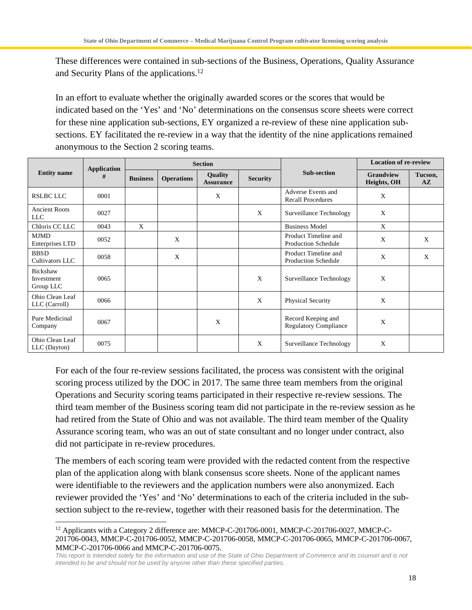These differences were contained in sub-sections of the Business, Operations, Quality Assurance and Security Plans of the applications.<sup>12</sup>

In an effort to evaluate whether the originally awarded scores or the scores that would be indicated based on the 'Yes' and 'No' determinations on the consensus score sheets were correct for these nine application sub-sections, EY organized a re-review of these nine application subsections. EY facilitated the re-review in a way that the identity of the nine applications remained anonymous to the Section 2 scoring teams.

|                                     | <b>Application</b> |                 |                   | <b>Section</b>              |                 |                                                    | <b>Location of re-review</b>    |                                   |
|-------------------------------------|--------------------|-----------------|-------------------|-----------------------------|-----------------|----------------------------------------------------|---------------------------------|-----------------------------------|
| <b>Entity name</b>                  | #                  | <b>Business</b> | <b>Operations</b> | Quality<br><b>Assurance</b> | <b>Security</b> | <b>Sub-section</b>                                 | <b>Grandview</b><br>Heights, OH | Tucson,<br>$\mathbf{A}\mathbf{Z}$ |
| <b>RSLBC LLC</b>                    | 0001               |                 |                   | X                           |                 | Adverse Events and<br><b>Recall Procedures</b>     | X                               |                                   |
| <b>Ancient Roots</b><br><b>LLC</b>  | 0027               |                 |                   |                             | X               | Surveillance Technology                            | X                               |                                   |
| Chloris CC LLC                      | 0043               | X               |                   |                             |                 | <b>Business Model</b>                              | X                               |                                   |
| <b>MJMD</b><br>Enterprises LTD      | 0052               |                 | X                 |                             |                 | Product Timeline and<br><b>Production Schedule</b> | X                               | X                                 |
| <b>BBSD</b><br>Cultivators LLC      | 0058               |                 | X                 |                             |                 | Product Timeline and<br><b>Production Schedule</b> | X                               | X                                 |
| Bickshaw<br>Investment<br>Group LLC | 0065               |                 |                   |                             | X               | Surveillance Technology                            | X                               |                                   |
| Ohio Clean Leaf<br>LLC (Carroll)    | 0066               |                 |                   |                             | X               | Physical Security                                  | X                               |                                   |
| Pure Medicinal<br>Company           | 0067               |                 |                   | X                           |                 | Record Keeping and<br><b>Regulatory Compliance</b> | X                               |                                   |
| Ohio Clean Leaf<br>LLC (Dayton)     | 0075               |                 |                   |                             | X               | Surveillance Technology                            | X                               |                                   |

For each of the four re-review sessions facilitated, the process was consistent with the original scoring process utilized by the DOC in 2017. The same three team members from the original Operations and Security scoring teams participated in their respective re-review sessions. The third team member of the Business scoring team did not participate in the re-review session as he had retired from the State of Ohio and was not available. The third team member of the Quality Assurance scoring team, who was an out of state consultant and no longer under contract, also did not participate in re-review procedures.

The members of each scoring team were provided with the redacted content from the respective plan of the application along with blank consensus score sheets. None of the applicant names were identifiable to the reviewers and the application numbers were also anonymized. Each reviewer provided the 'Yes' and 'No' determinations to each of the criteria included in the subsection subject to the re-review, together with their reasoned basis for the determination. The

<sup>&</sup>lt;sup>12</sup> Applicants with a Category 2 difference are: MMCP-C-201706-0001, MMCP-C-201706-0027, MMCP-C-201706-0043, MMCP-C-201706-0052, MMCP-C-201706-0058, MMCP-C-201706-0065, MMCP-C-201706-0067, MMCP-C-201706-0066 and MMCP-C-201706-0075.

*This report is intended solely for the information and use of the State of Ohio Department of Commerce and its counsel and is not intended to be and should not be used by anyone other than these specified parties.*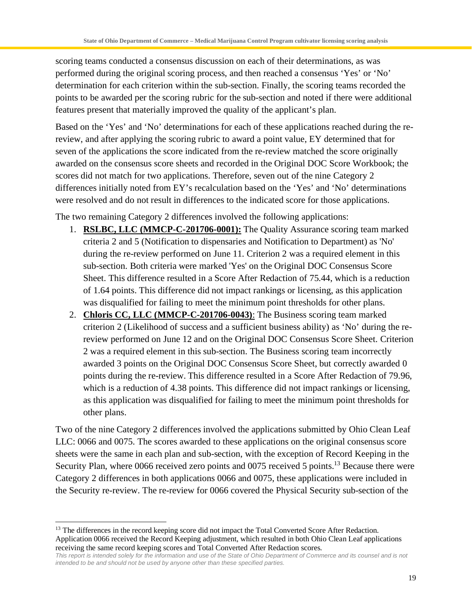scoring teams conducted a consensus discussion on each of their determinations, as was performed during the original scoring process, and then reached a consensus 'Yes' or 'No' determination for each criterion within the sub-section. Finally, the scoring teams recorded the points to be awarded per the scoring rubric for the sub-section and noted if there were additional features present that materially improved the quality of the applicant's plan.

Based on the 'Yes' and 'No' determinations for each of these applications reached during the rereview, and after applying the scoring rubric to award a point value, EY determined that for seven of the applications the score indicated from the re-review matched the score originally awarded on the consensus score sheets and recorded in the Original DOC Score Workbook; the scores did not match for two applications. Therefore, seven out of the nine Category 2 differences initially noted from EY's recalculation based on the 'Yes' and 'No' determinations were resolved and do not result in differences to the indicated score for those applications.

The two remaining Category 2 differences involved the following applications:

- 1. **RSLBC, LLC (MMCP-C-201706-0001):** The Quality Assurance scoring team marked criteria 2 and 5 (Notification to dispensaries and Notification to Department) as 'No' during the re-review performed on June 11. Criterion 2 was a required element in this sub-section. Both criteria were marked 'Yes' on the Original DOC Consensus Score Sheet. This difference resulted in a Score After Redaction of 75.44, which is a reduction of 1.64 points. This difference did not impact rankings or licensing, as this application was disqualified for failing to meet the minimum point thresholds for other plans.
- 2. **Chloris CC, LLC (MMCP-C-201706-0043)**: The Business scoring team marked criterion 2 (Likelihood of success and a sufficient business ability) as 'No' during the rereview performed on June 12 and on the Original DOC Consensus Score Sheet. Criterion 2 was a required element in this sub-section. The Business scoring team incorrectly awarded 3 points on the Original DOC Consensus Score Sheet, but correctly awarded 0 points during the re-review. This difference resulted in a Score After Redaction of 79.96, which is a reduction of 4.38 points. This difference did not impact rankings or licensing, as this application was disqualified for failing to meet the minimum point thresholds for other plans.

Two of the nine Category 2 differences involved the applications submitted by Ohio Clean Leaf LLC: 0066 and 0075. The scores awarded to these applications on the original consensus score sheets were the same in each plan and sub-section, with the exception of Record Keeping in the Security Plan, where 0066 received zero points and 0075 received 5 points.<sup>13</sup> Because there were Category 2 differences in both applications 0066 and 0075, these applications were included in the Security re-review. The re-review for 0066 covered the Physical Security sub-section of the

<sup>&</sup>lt;sup>13</sup> The differences in the record keeping score did not impact the Total Converted Score After Redaction. Application 0066 received the Record Keeping adjustment, which resulted in both Ohio Clean Leaf applications receiving the same record keeping scores and Total Converted After Redaction scores.

*This report is intended solely for the information and use of the State of Ohio Department of Commerce and its counsel and is not intended to be and should not be used by anyone other than these specified parties.*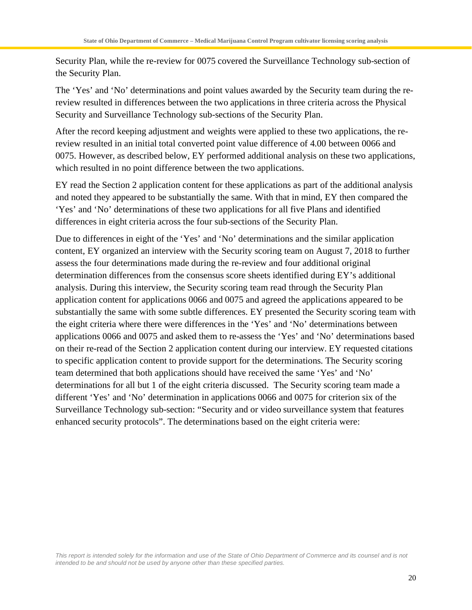Security Plan, while the re-review for 0075 covered the Surveillance Technology sub-section of the Security Plan.

The 'Yes' and 'No' determinations and point values awarded by the Security team during the rereview resulted in differences between the two applications in three criteria across the Physical Security and Surveillance Technology sub-sections of the Security Plan.

After the record keeping adjustment and weights were applied to these two applications, the rereview resulted in an initial total converted point value difference of 4.00 between 0066 and 0075. However, as described below, EY performed additional analysis on these two applications, which resulted in no point difference between the two applications.

EY read the Section 2 application content for these applications as part of the additional analysis and noted they appeared to be substantially the same. With that in mind, EY then compared the 'Yes' and 'No' determinations of these two applications for all five Plans and identified differences in eight criteria across the four sub-sections of the Security Plan.

Due to differences in eight of the 'Yes' and 'No' determinations and the similar application content, EY organized an interview with the Security scoring team on August 7, 2018 to further assess the four determinations made during the re-review and four additional original determination differences from the consensus score sheets identified during EY's additional analysis. During this interview, the Security scoring team read through the Security Plan application content for applications 0066 and 0075 and agreed the applications appeared to be substantially the same with some subtle differences. EY presented the Security scoring team with the eight criteria where there were differences in the 'Yes' and 'No' determinations between applications 0066 and 0075 and asked them to re-assess the 'Yes' and 'No' determinations based on their re-read of the Section 2 application content during our interview. EY requested citations to specific application content to provide support for the determinations. The Security scoring team determined that both applications should have received the same 'Yes' and 'No' determinations for all but 1 of the eight criteria discussed. The Security scoring team made a different 'Yes' and 'No' determination in applications 0066 and 0075 for criterion six of the Surveillance Technology sub-section: "Security and or video surveillance system that features enhanced security protocols". The determinations based on the eight criteria were: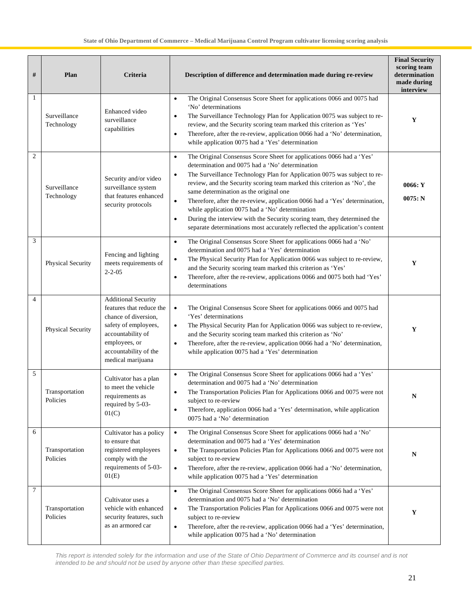| #              | Plan                       | Criteria                                                                                                                                                                                   | Description of difference and determination made during re-review                                                                                                                                                                                                                                                                                                                                                                                                                                                                                                                                                                                                          | <b>Final Security</b><br>scoring team<br>determination<br>made during<br>interview |
|----------------|----------------------------|--------------------------------------------------------------------------------------------------------------------------------------------------------------------------------------------|----------------------------------------------------------------------------------------------------------------------------------------------------------------------------------------------------------------------------------------------------------------------------------------------------------------------------------------------------------------------------------------------------------------------------------------------------------------------------------------------------------------------------------------------------------------------------------------------------------------------------------------------------------------------------|------------------------------------------------------------------------------------|
| 1              | Surveillance<br>Technology | Enhanced video<br>surveillance<br>capabilities                                                                                                                                             | The Original Consensus Score Sheet for applications 0066 and 0075 had<br>$\bullet$<br>'No' determinations<br>The Surveillance Technology Plan for Application 0075 was subject to re-<br>$\bullet$<br>review, and the Security scoring team marked this criterion as 'Yes'<br>Therefore, after the re-review, application 0066 had a 'No' determination,<br>$\bullet$<br>while application 0075 had a 'Yes' determination                                                                                                                                                                                                                                                  | Y                                                                                  |
| $\overline{2}$ | Surveillance<br>Technology | Security and/or video<br>surveillance system<br>that features enhanced<br>security protocols                                                                                               | The Original Consensus Score Sheet for applications 0066 had a 'Yes'<br>$\bullet$<br>determination and 0075 had a 'No' determination<br>The Surveillance Technology Plan for Application 0075 was subject to re-<br>$\bullet$<br>review, and the Security scoring team marked this criterion as 'No', the<br>same determination as the original one<br>Therefore, after the re-review, application 0066 had a 'Yes' determination,<br>$\bullet$<br>while application 0075 had a 'No' determination<br>During the interview with the Security scoring team, they determined the<br>$\bullet$<br>separate determinations most accurately reflected the application's content | 0066:Y<br>0075: N                                                                  |
| 3              | <b>Physical Security</b>   | Fencing and lighting<br>meets requirements of<br>$2 - 2 - 05$                                                                                                                              | The Original Consensus Score Sheet for applications 0066 had a 'No'<br>$\bullet$<br>determination and 0075 had a 'Yes' determination<br>The Physical Security Plan for Application 0066 was subject to re-review,<br>$\bullet$<br>and the Security scoring team marked this criterion as 'Yes'<br>Therefore, after the re-review, applications 0066 and 0075 both had 'Yes'<br>$\bullet$<br>determinations                                                                                                                                                                                                                                                                 | Y                                                                                  |
| $\overline{4}$ | Physical Security          | <b>Additional Security</b><br>features that reduce the<br>chance of diversion,<br>safety of employees,<br>accountability of<br>employees, or<br>accountability of the<br>medical marijuana | The Original Consensus Score Sheet for applications 0066 and 0075 had<br>$\bullet$<br>'Yes' determinations<br>The Physical Security Plan for Application 0066 was subject to re-review,<br>$\bullet$<br>and the Security scoring team marked this criterion as 'No'<br>Therefore, after the re-review, application 0066 had a 'No' determination,<br>$\bullet$<br>while application 0075 had a 'Yes' determination                                                                                                                                                                                                                                                         | Y                                                                                  |
| 5              | Transportation<br>Policies | Cultivator has a plan<br>to meet the vehicle<br>requirements as<br>required by 5-03-<br>01(C)                                                                                              | The Original Consensus Score Sheet for applications 0066 had a 'Yes'<br>$\bullet$<br>determination and 0075 had a 'No' determination<br>The Transportation Policies Plan for Applications 0066 and 0075 were not<br>$\bullet$<br>subject to re-review<br>Therefore, application 0066 had a 'Yes' determination, while application<br>$\bullet$<br>0075 had a 'No' determination                                                                                                                                                                                                                                                                                            | N                                                                                  |
| 6              | Transportation<br>Policies | Cultivator has a policy<br>to ensure that<br>registered employees<br>comply with the<br>requirements of 5-03-<br>01(E)                                                                     | The Original Consensus Score Sheet for applications 0066 had a 'No'<br>$\bullet$<br>determination and 0075 had a 'Yes' determination<br>The Transportation Policies Plan for Applications 0066 and 0075 were not<br>$\bullet$<br>subject to re-review<br>Therefore, after the re-review, application 0066 had a 'No' determination,<br>$\bullet$<br>while application 0075 had a 'Yes' determination                                                                                                                                                                                                                                                                       | N                                                                                  |
| 7              | Transportation<br>Policies | Cultivator uses a<br>vehicle with enhanced<br>security features, such<br>as an armored car                                                                                                 | The Original Consensus Score Sheet for applications 0066 had a 'Yes'<br>$\bullet$<br>determination and 0075 had a 'No' determination<br>The Transportation Policies Plan for Applications 0066 and 0075 were not<br>$\bullet$<br>subject to re-review<br>Therefore, after the re-review, application 0066 had a 'Yes' determination,<br>$\bullet$<br>while application 0075 had a 'No' determination                                                                                                                                                                                                                                                                       | Y                                                                                  |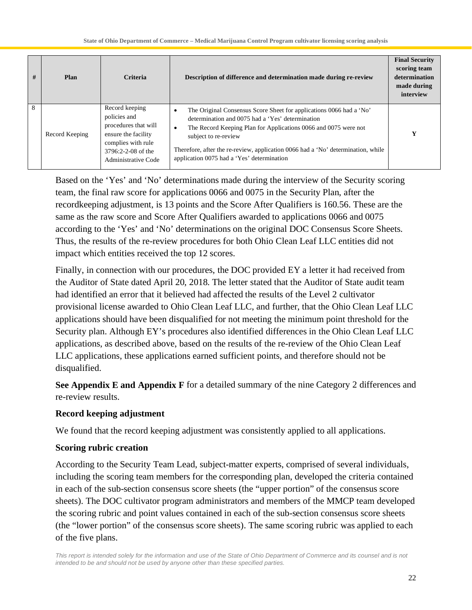| # | Plan           | <b>Criteria</b>                                                                                                                                  | Description of difference and determination made during re-review                                                                                                                                                                                                                                                                                         | <b>Final Security</b><br>scoring team<br>determination<br>made during<br>interview |
|---|----------------|--------------------------------------------------------------------------------------------------------------------------------------------------|-----------------------------------------------------------------------------------------------------------------------------------------------------------------------------------------------------------------------------------------------------------------------------------------------------------------------------------------------------------|------------------------------------------------------------------------------------|
| 8 | Record Keeping | Record keeping<br>policies and<br>procedures that will<br>ensure the facility<br>complies with rule<br>3796:2-2-08 of the<br>Administrative Code | The Original Consensus Score Sheet for applications 0066 had a 'No'<br>٠<br>determination and 0075 had a 'Yes' determination<br>The Record Keeping Plan for Applications 0066 and 0075 were not<br>subject to re-review<br>Therefore, after the re-review, application 0066 had a 'No' determination, while<br>application 0075 had a 'Yes' determination | v                                                                                  |

Based on the 'Yes' and 'No' determinations made during the interview of the Security scoring team, the final raw score for applications 0066 and 0075 in the Security Plan, after the recordkeeping adjustment, is 13 points and the Score After Qualifiers is 160.56. These are the same as the raw score and Score After Qualifiers awarded to applications 0066 and 0075 according to the 'Yes' and 'No' determinations on the original DOC Consensus Score Sheets. Thus, the results of the re-review procedures for both Ohio Clean Leaf LLC entities did not impact which entities received the top 12 scores.

Finally, in connection with our procedures, the DOC provided EY a letter it had received from the Auditor of State dated April 20, 2018. The letter stated that the Auditor of State audit team had identified an error that it believed had affected the results of the Level 2 cultivator provisional license awarded to Ohio Clean Leaf LLC, and further, that the Ohio Clean Leaf LLC applications should have been disqualified for not meeting the minimum point threshold for the Security plan. Although EY's procedures also identified differences in the Ohio Clean Leaf LLC applications, as described above, based on the results of the re-review of the Ohio Clean Leaf LLC applications, these applications earned sufficient points, and therefore should not be disqualified.

**See Appendix E and Appendix F** for a detailed summary of the nine Category 2 differences and re-review results.

#### **Record keeping adjustment**

We found that the record keeping adjustment was consistently applied to all applications.

#### **Scoring rubric creation**

According to the Security Team Lead, subject-matter experts, comprised of several individuals, including the scoring team members for the corresponding plan, developed the criteria contained in each of the sub-section consensus score sheets (the "upper portion" of the consensus score sheets). The DOC cultivator program administrators and members of the MMCP team developed the scoring rubric and point values contained in each of the sub-section consensus score sheets (the "lower portion" of the consensus score sheets). The same scoring rubric was applied to each of the five plans.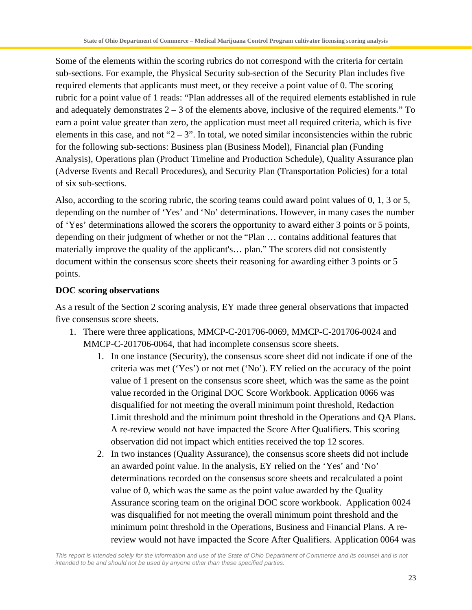Some of the elements within the scoring rubrics do not correspond with the criteria for certain sub-sections. For example, the Physical Security sub-section of the Security Plan includes five required elements that applicants must meet, or they receive a point value of 0. The scoring rubric for a point value of 1 reads: "Plan addresses all of the required elements established in rule and adequately demonstrates  $2 - 3$  of the elements above, inclusive of the required elements." To earn a point value greater than zero, the application must meet all required criteria, which is five elements in this case, and not " $2 - 3$ ". In total, we noted similar inconsistencies within the rubric for the following sub-sections: Business plan (Business Model), Financial plan (Funding Analysis), Operations plan (Product Timeline and Production Schedule), Quality Assurance plan (Adverse Events and Recall Procedures), and Security Plan (Transportation Policies) for a total of six sub-sections.

Also, according to the scoring rubric, the scoring teams could award point values of 0, 1, 3 or 5, depending on the number of 'Yes' and 'No' determinations. However, in many cases the number of 'Yes' determinations allowed the scorers the opportunity to award either 3 points or 5 points, depending on their judgment of whether or not the "Plan … contains additional features that materially improve the quality of the applicant's… plan." The scorers did not consistently document within the consensus score sheets their reasoning for awarding either 3 points or 5 points.

#### **DOC scoring observations**

As a result of the Section 2 scoring analysis, EY made three general observations that impacted five consensus score sheets.

- 1. There were three applications, MMCP-C-201706-0069, MMCP-C-201706-0024 and MMCP-C-201706-0064, that had incomplete consensus score sheets.
	- 1. In one instance (Security), the consensus score sheet did not indicate if one of the criteria was met ('Yes') or not met ('No'). EY relied on the accuracy of the point value of 1 present on the consensus score sheet, which was the same as the point value recorded in the Original DOC Score Workbook. Application 0066 was disqualified for not meeting the overall minimum point threshold, Redaction Limit threshold and the minimum point threshold in the Operations and QA Plans. A re-review would not have impacted the Score After Qualifiers. This scoring observation did not impact which entities received the top 12 scores.
	- 2. In two instances (Quality Assurance), the consensus score sheets did not include an awarded point value. In the analysis, EY relied on the 'Yes' and 'No' determinations recorded on the consensus score sheets and recalculated a point value of 0, which was the same as the point value awarded by the Quality Assurance scoring team on the original DOC score workbook. Application 0024 was disqualified for not meeting the overall minimum point threshold and the minimum point threshold in the Operations, Business and Financial Plans. A rereview would not have impacted the Score After Qualifiers. Application 0064 was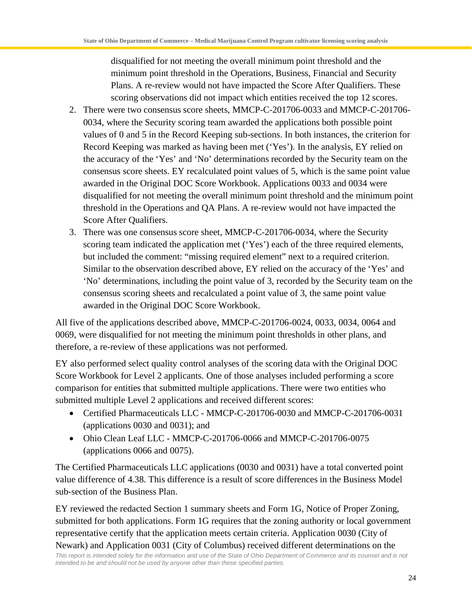disqualified for not meeting the overall minimum point threshold and the minimum point threshold in the Operations, Business, Financial and Security Plans. A re-review would not have impacted the Score After Qualifiers. These scoring observations did not impact which entities received the top 12 scores.

- 2. There were two consensus score sheets, MMCP-C-201706-0033 and MMCP-C-201706- 0034, where the Security scoring team awarded the applications both possible point values of 0 and 5 in the Record Keeping sub-sections. In both instances, the criterion for Record Keeping was marked as having been met ('Yes'). In the analysis, EY relied on the accuracy of the 'Yes' and 'No' determinations recorded by the Security team on the consensus score sheets. EY recalculated point values of 5, which is the same point value awarded in the Original DOC Score Workbook. Applications 0033 and 0034 were disqualified for not meeting the overall minimum point threshold and the minimum point threshold in the Operations and QA Plans. A re-review would not have impacted the Score After Qualifiers.
- 3. There was one consensus score sheet, MMCP-C-201706-0034, where the Security scoring team indicated the application met ('Yes') each of the three required elements, but included the comment: "missing required element" next to a required criterion. Similar to the observation described above, EY relied on the accuracy of the 'Yes' and 'No' determinations, including the point value of 3, recorded by the Security team on the consensus scoring sheets and recalculated a point value of 3, the same point value awarded in the Original DOC Score Workbook.

All five of the applications described above, MMCP-C-201706-0024, 0033, 0034, 0064 and 0069, were disqualified for not meeting the minimum point thresholds in other plans, and therefore, a re-review of these applications was not performed.

EY also performed select quality control analyses of the scoring data with the Original DOC Score Workbook for Level 2 applicants. One of those analyses included performing a score comparison for entities that submitted multiple applications. There were two entities who submitted multiple Level 2 applications and received different scores:

- · Certified Pharmaceuticals LLC MMCP-C-201706-0030 and MMCP-C-201706-0031 (applications 0030 and 0031); and
- · Ohio Clean Leaf LLC MMCP-C-201706-0066 and MMCP-C-201706-0075 (applications 0066 and 0075).

The Certified Pharmaceuticals LLC applications (0030 and 0031) have a total converted point value difference of 4.38. This difference is a result of score differences in the Business Model sub-section of the Business Plan.

*This report is intended solely for the information and use of the State of Ohio Department of Commerce and its counsel and is not intended to be and should not be used by anyone other than these specified parties.* EY reviewed the redacted Section 1 summary sheets and Form 1G, Notice of Proper Zoning, submitted for both applications. Form 1G requires that the zoning authority or local government representative certify that the application meets certain criteria. Application 0030 (City of Newark) and Application 0031 (City of Columbus) received different determinations on the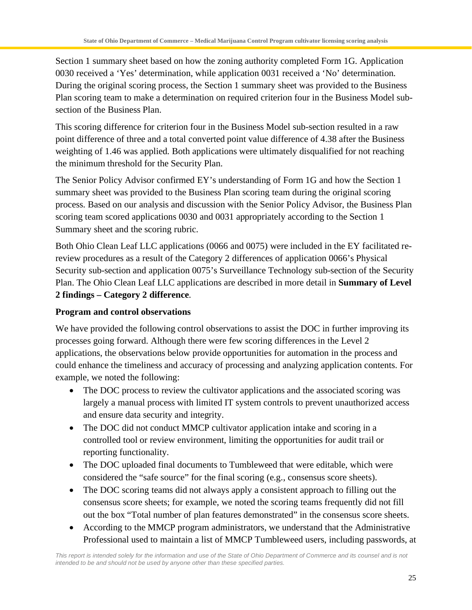Section 1 summary sheet based on how the zoning authority completed Form 1G. Application 0030 received a 'Yes' determination, while application 0031 received a 'No' determination. During the original scoring process, the Section 1 summary sheet was provided to the Business Plan scoring team to make a determination on required criterion four in the Business Model subsection of the Business Plan.

This scoring difference for criterion four in the Business Model sub-section resulted in a raw point difference of three and a total converted point value difference of 4.38 after the Business weighting of 1.46 was applied. Both applications were ultimately disqualified for not reaching the minimum threshold for the Security Plan.

The Senior Policy Advisor confirmed EY's understanding of Form 1G and how the Section 1 summary sheet was provided to the Business Plan scoring team during the original scoring process. Based on our analysis and discussion with the Senior Policy Advisor, the Business Plan scoring team scored applications 0030 and 0031 appropriately according to the Section 1 Summary sheet and the scoring rubric.

Both Ohio Clean Leaf LLC applications (0066 and 0075) were included in the EY facilitated rereview procedures as a result of the Category 2 differences of application 0066's Physical Security sub-section and application 0075's Surveillance Technology sub-section of the Security Plan. The Ohio Clean Leaf LLC applications are described in more detail in **Summary of Level 2 findings – Category 2 difference**.

### **Program and control observations**

We have provided the following control observations to assist the DOC in further improving its processes going forward. Although there were few scoring differences in the Level 2 applications, the observations below provide opportunities for automation in the process and could enhance the timeliness and accuracy of processing and analyzing application contents. For example, we noted the following:

- The DOC process to review the cultivator applications and the associated scoring was largely a manual process with limited IT system controls to prevent unauthorized access and ensure data security and integrity.
- The DOC did not conduct MMCP cultivator application intake and scoring in a controlled tool or review environment, limiting the opportunities for audit trail or reporting functionality.
- · The DOC uploaded final documents to Tumbleweed that were editable, which were considered the "safe source" for the final scoring (e.g., consensus score sheets).
- The DOC scoring teams did not always apply a consistent approach to filling out the consensus score sheets; for example, we noted the scoring teams frequently did not fill out the box "Total number of plan features demonstrated" in the consensus score sheets.
- According to the MMCP program administrators, we understand that the Administrative Professional used to maintain a list of MMCP Tumbleweed users, including passwords, at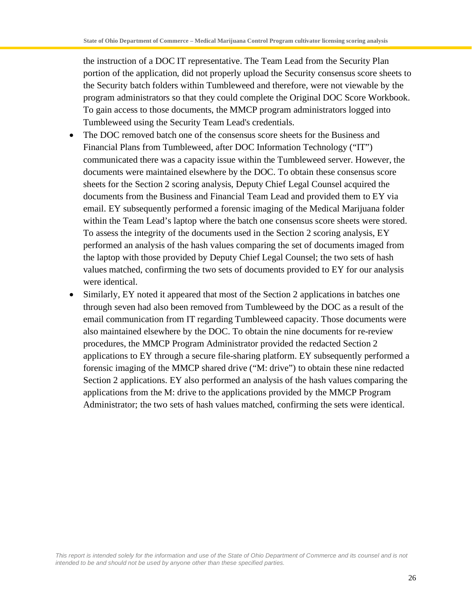the instruction of a DOC IT representative. The Team Lead from the Security Plan portion of the application, did not properly upload the Security consensus score sheets to the Security batch folders within Tumbleweed and therefore, were not viewable by the program administrators so that they could complete the Original DOC Score Workbook. To gain access to those documents, the MMCP program administrators logged into Tumbleweed using the Security Team Lead's credentials.

- The DOC removed batch one of the consensus score sheets for the Business and Financial Plans from Tumbleweed, after DOC Information Technology ("IT") communicated there was a capacity issue within the Tumbleweed server. However, the documents were maintained elsewhere by the DOC. To obtain these consensus score sheets for the Section 2 scoring analysis, Deputy Chief Legal Counsel acquired the documents from the Business and Financial Team Lead and provided them to EY via email. EY subsequently performed a forensic imaging of the Medical Marijuana folder within the Team Lead's laptop where the batch one consensus score sheets were stored. To assess the integrity of the documents used in the Section 2 scoring analysis, EY performed an analysis of the hash values comparing the set of documents imaged from the laptop with those provided by Deputy Chief Legal Counsel; the two sets of hash values matched, confirming the two sets of documents provided to EY for our analysis were identical.
- · Similarly, EY noted it appeared that most of the Section 2 applications in batches one through seven had also been removed from Tumbleweed by the DOC as a result of the email communication from IT regarding Tumbleweed capacity. Those documents were also maintained elsewhere by the DOC. To obtain the nine documents for re-review procedures, the MMCP Program Administrator provided the redacted Section 2 applications to EY through a secure file-sharing platform. EY subsequently performed a forensic imaging of the MMCP shared drive ("M: drive") to obtain these nine redacted Section 2 applications. EY also performed an analysis of the hash values comparing the applications from the M: drive to the applications provided by the MMCP Program Administrator; the two sets of hash values matched, confirming the sets were identical.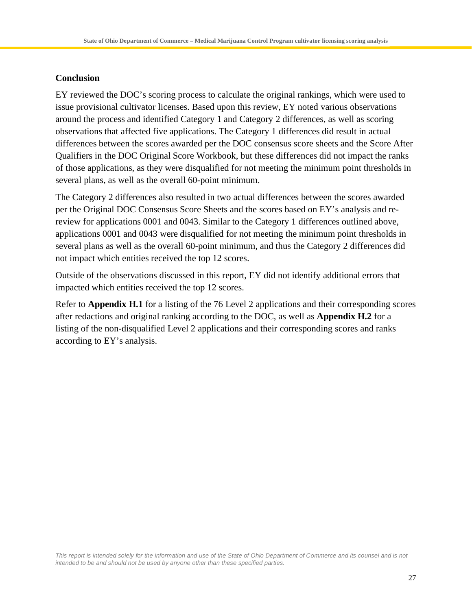#### **Conclusion**

EY reviewed the DOC's scoring process to calculate the original rankings, which were used to issue provisional cultivator licenses. Based upon this review, EY noted various observations around the process and identified Category 1 and Category 2 differences, as well as scoring observations that affected five applications. The Category 1 differences did result in actual differences between the scores awarded per the DOC consensus score sheets and the Score After Qualifiers in the DOC Original Score Workbook, but these differences did not impact the ranks of those applications, as they were disqualified for not meeting the minimum point thresholds in several plans, as well as the overall 60-point minimum.

The Category 2 differences also resulted in two actual differences between the scores awarded per the Original DOC Consensus Score Sheets and the scores based on EY's analysis and rereview for applications 0001 and 0043. Similar to the Category 1 differences outlined above, applications 0001 and 0043 were disqualified for not meeting the minimum point thresholds in several plans as well as the overall 60-point minimum, and thus the Category 2 differences did not impact which entities received the top 12 scores.

Outside of the observations discussed in this report, EY did not identify additional errors that impacted which entities received the top 12 scores.

Refer to **Appendix H.1** for a listing of the 76 Level 2 applications and their corresponding scores after redactions and original ranking according to the DOC, as well as **Appendix H.2** for a listing of the non-disqualified Level 2 applications and their corresponding scores and ranks according to EY's analysis.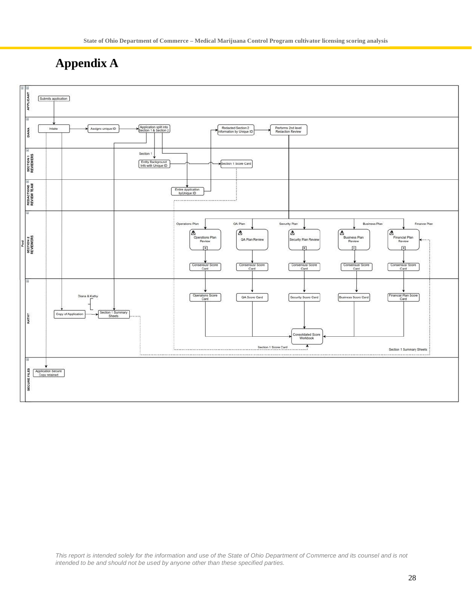# **Appendix A**

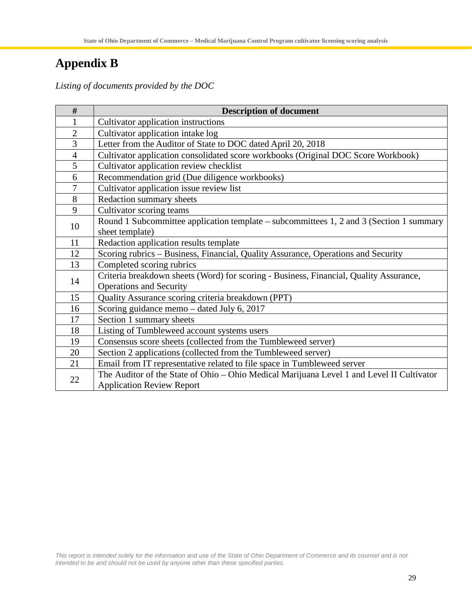# **Appendix B**

*Listing of documents provided by the DOC*

| #                | <b>Description of document</b>                                                            |
|------------------|-------------------------------------------------------------------------------------------|
| 1                | Cultivator application instructions                                                       |
| $\overline{2}$   | Cultivator application intake log                                                         |
| 3                | Letter from the Auditor of State to DOC dated April 20, 2018                              |
| $\overline{4}$   | Cultivator application consolidated score workbooks (Original DOC Score Workbook)         |
| 5                | Cultivator application review checklist                                                   |
| 6                | Recommendation grid (Due diligence workbooks)                                             |
| $\boldsymbol{7}$ | Cultivator application issue review list                                                  |
| 8                | Redaction summary sheets                                                                  |
| 9                | Cultivator scoring teams                                                                  |
| 10               | Round 1 Subcommittee application template – subcommittees 1, 2 and 3 (Section 1 summary   |
|                  | sheet template)                                                                           |
| 11               | Redaction application results template                                                    |
| 12               | Scoring rubrics – Business, Financial, Quality Assurance, Operations and Security         |
| 13               | Completed scoring rubrics                                                                 |
| 14               | Criteria breakdown sheets (Word) for scoring - Business, Financial, Quality Assurance,    |
|                  | <b>Operations and Security</b>                                                            |
| 15               | Quality Assurance scoring criteria breakdown (PPT)                                        |
| 16               | Scoring guidance memo – dated July 6, 2017                                                |
| 17               | Section 1 summary sheets                                                                  |
| 18               | Listing of Tumbleweed account systems users                                               |
| 19               | Consensus score sheets (collected from the Tumbleweed server)                             |
| 20               | Section 2 applications (collected from the Tumbleweed server)                             |
| 21               | Email from IT representative related to file space in Tumbleweed server                   |
| 22               | The Auditor of the State of Ohio - Ohio Medical Marijuana Level 1 and Level II Cultivator |
|                  | <b>Application Review Report</b>                                                          |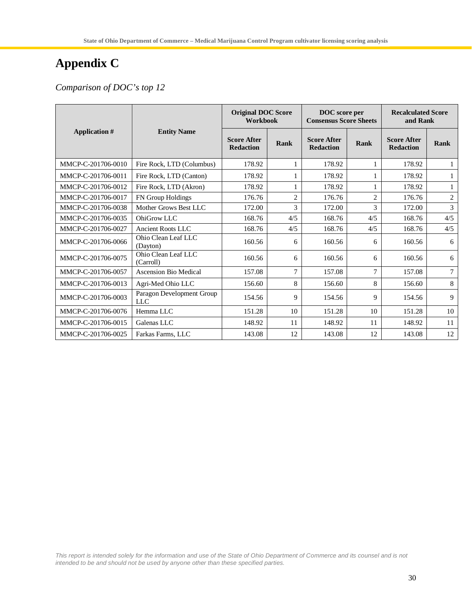# **Appendix C**

*Comparison of DOC's top 12*

|                      |                                         | <b>Original DOC Score</b><br>Workbook  |                | DOC score per<br><b>Consensus Score Sheets</b> |                | <b>Recalculated Score</b><br>and Rank  |                |
|----------------------|-----------------------------------------|----------------------------------------|----------------|------------------------------------------------|----------------|----------------------------------------|----------------|
| <b>Application</b> # | <b>Entity Name</b>                      | <b>Score After</b><br><b>Redaction</b> | Rank           | <b>Score After</b><br><b>Redaction</b>         | Rank           | <b>Score After</b><br><b>Redaction</b> | Rank           |
| MMCP-C-201706-0010   | Fire Rock, LTD (Columbus)               | 178.92                                 | 1              | 178.92                                         |                | 178.92                                 | 1              |
| MMCP-C-201706-0011   | Fire Rock, LTD (Canton)                 | 178.92                                 |                | 178.92                                         |                | 178.92                                 |                |
| MMCP-C-201706-0012   | Fire Rock, LTD (Akron)                  | 178.92                                 |                | 178.92                                         |                | 178.92                                 | $\mathbf{1}$   |
| MMCP-C-201706-0017   | FN Group Holdings                       | 176.76                                 | $\overline{2}$ | 176.76                                         | $\overline{c}$ | 176.76                                 | $\overline{c}$ |
| MMCP-C-201706-0038   | Mother Grows Best LLC                   | 172.00                                 | 3              | 172.00                                         | 3              | 172.00                                 | 3              |
| MMCP-C-201706-0035   | OhiGrow LLC                             | 168.76                                 | 4/5            | 168.76                                         | 4/5            | 168.76                                 | 4/5            |
| MMCP-C-201706-0027   | <b>Ancient Roots LLC</b>                | 168.76                                 | 4/5            | 168.76                                         | 4/5            | 168.76                                 | 4/5            |
| MMCP-C-201706-0066   | Ohio Clean Leaf LLC<br>(Davton)         | 160.56                                 | 6              | 160.56                                         | 6              | 160.56                                 | 6              |
| MMCP-C-201706-0075   | Ohio Clean Leaf LLC<br>(Carroll)        | 160.56                                 | 6              | 160.56                                         | 6              | 160.56                                 | 6              |
| MMCP-C-201706-0057   | <b>Ascension Bio Medical</b>            | 157.08                                 | $\tau$         | 157.08                                         | 7              | 157.08                                 | $\tau$         |
| MMCP-C-201706-0013   | Agri-Med Ohio LLC                       | 156.60                                 | 8              | 156.60                                         | 8              | 156.60                                 | 8              |
| MMCP-C-201706-0003   | Paragon Development Group<br><b>LLC</b> | 154.56                                 | 9              | 154.56                                         | 9              | 154.56                                 | 9              |
| MMCP-C-201706-0076   | Hemma LLC                               | 151.28                                 | 10             | 151.28                                         | 10             | 151.28                                 | 10             |
| MMCP-C-201706-0015   | Galenas LLC                             | 148.92                                 | 11             | 148.92                                         | 11             | 148.92                                 | 11             |
| MMCP-C-201706-0025   | Farkas Farms, LLC                       | 143.08                                 | 12             | 143.08                                         | 12             | 143.08                                 | 12             |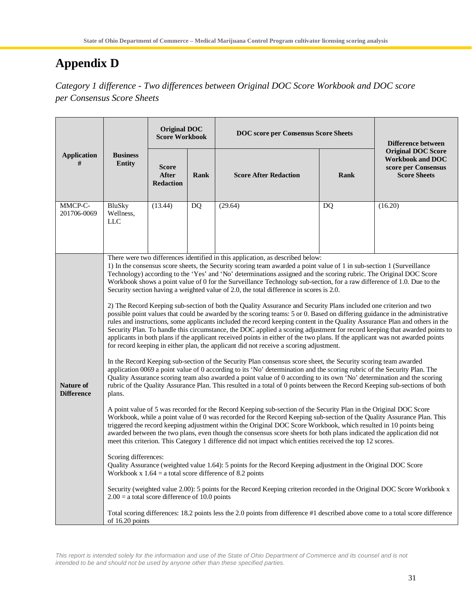# **Appendix D**

*Category 1 difference - Two differences between Original DOC Score Workbook and DOC score per Consensus Score Sheets*

|                                                                                                                                                                                                                                                                                                                                                                                                                                                                                                                                                                                                         |                                                  | <b>Original DOC</b><br><b>Score Workbook</b> |             | <b>DOC</b> score per Consensus Score Sheets                                                                                                                                                                                                                                                                                                                                                                                                                                                                                                                                                                                                                                                                                            | <b>Difference between</b> |                                                                                                    |  |
|---------------------------------------------------------------------------------------------------------------------------------------------------------------------------------------------------------------------------------------------------------------------------------------------------------------------------------------------------------------------------------------------------------------------------------------------------------------------------------------------------------------------------------------------------------------------------------------------------------|--------------------------------------------------|----------------------------------------------|-------------|----------------------------------------------------------------------------------------------------------------------------------------------------------------------------------------------------------------------------------------------------------------------------------------------------------------------------------------------------------------------------------------------------------------------------------------------------------------------------------------------------------------------------------------------------------------------------------------------------------------------------------------------------------------------------------------------------------------------------------------|---------------------------|----------------------------------------------------------------------------------------------------|--|
| <b>Application</b><br>#                                                                                                                                                                                                                                                                                                                                                                                                                                                                                                                                                                                 | <b>Business</b><br><b>Entity</b>                 | Score<br><b>After</b><br><b>Redaction</b>    | <b>Rank</b> | <b>Score After Redaction</b>                                                                                                                                                                                                                                                                                                                                                                                                                                                                                                                                                                                                                                                                                                           | Rank                      | <b>Original DOC Score</b><br><b>Workbook and DOC</b><br>score per Consensus<br><b>Score Sheets</b> |  |
| MMCP-C-<br>201706-0069                                                                                                                                                                                                                                                                                                                                                                                                                                                                                                                                                                                  | BluSky<br>Wellness,<br><b>LLC</b>                | (13.44)                                      | DQ          | (29.64)                                                                                                                                                                                                                                                                                                                                                                                                                                                                                                                                                                                                                                                                                                                                | DQ                        | (16.20)                                                                                            |  |
|                                                                                                                                                                                                                                                                                                                                                                                                                                                                                                                                                                                                         |                                                  |                                              |             | There were two differences identified in this application, as described below:<br>1) In the consensus score sheets, the Security scoring team awarded a point value of 1 in sub-section 1 (Surveillance<br>Technology) according to the 'Yes' and 'No' determinations assigned and the scoring rubric. The Original DOC Score<br>Workbook shows a point value of 0 for the Surveillance Technology sub-section, for a raw difference of 1.0. Due to the<br>Security section having a weighted value of 2.0, the total difference in scores is 2.0.<br>2) The Record Keeping sub-section of both the Quality Assurance and Security Plans included one criterion and two                                                                |                           |                                                                                                    |  |
|                                                                                                                                                                                                                                                                                                                                                                                                                                                                                                                                                                                                         |                                                  |                                              |             | possible point values that could be awarded by the scoring teams: 5 or 0. Based on differing guidance in the administrative<br>rules and instructions, some applicants included the record keeping content in the Quality Assurance Plan and others in the<br>Security Plan. To handle this circumstance, the DOC applied a scoring adjustment for record keeping that awarded points to<br>applicants in both plans if the applicant received points in either of the two plans. If the applicant was not awarded points<br>for record keeping in either plan, the applicant did not receive a scoring adjustment.<br>In the Record Keeping sub-section of the Security Plan consensus score sheet, the Security scoring team awarded |                           |                                                                                                    |  |
| Nature of<br><b>Difference</b>                                                                                                                                                                                                                                                                                                                                                                                                                                                                                                                                                                          | plans.                                           |                                              |             | application 0069 a point value of 0 according to its 'No' determination and the scoring rubric of the Security Plan. The<br>Quality Assurance scoring team also awarded a point value of 0 according to its own 'No' determination and the scoring<br>rubric of the Quality Assurance Plan. This resulted in a total of 0 points between the Record Keeping sub-sections of both                                                                                                                                                                                                                                                                                                                                                       |                           |                                                                                                    |  |
| A point value of 5 was recorded for the Record Keeping sub-section of the Security Plan in the Original DOC Score<br>Workbook, while a point value of 0 was recorded for the Record Keeping sub-section of the Quality Assurance Plan. This<br>triggered the record keeping adjustment within the Original DOC Score Workbook, which resulted in 10 points being<br>awarded between the two plans, even though the consensus score sheets for both plans indicated the application did not<br>meet this criterion. This Category 1 difference did not impact which entities received the top 12 scores. |                                                  |                                              |             |                                                                                                                                                                                                                                                                                                                                                                                                                                                                                                                                                                                                                                                                                                                                        |                           |                                                                                                    |  |
|                                                                                                                                                                                                                                                                                                                                                                                                                                                                                                                                                                                                         | Scoring differences:                             |                                              |             | Quality Assurance (weighted value 1.64): 5 points for the Record Keeping adjustment in the Original DOC Score<br>Workbook x $1.64$ = a total score difference of 8.2 points                                                                                                                                                                                                                                                                                                                                                                                                                                                                                                                                                            |                           |                                                                                                    |  |
|                                                                                                                                                                                                                                                                                                                                                                                                                                                                                                                                                                                                         | $2.00 = a$ total score difference of 10.0 points |                                              |             | Security (weighted value 2.00): 5 points for the Record Keeping criterion recorded in the Original DOC Score Workbook x                                                                                                                                                                                                                                                                                                                                                                                                                                                                                                                                                                                                                |                           |                                                                                                    |  |
|                                                                                                                                                                                                                                                                                                                                                                                                                                                                                                                                                                                                         | of 16.20 points                                  |                                              |             | Total scoring differences: 18.2 points less the 2.0 points from difference #1 described above come to a total score difference                                                                                                                                                                                                                                                                                                                                                                                                                                                                                                                                                                                                         |                           |                                                                                                    |  |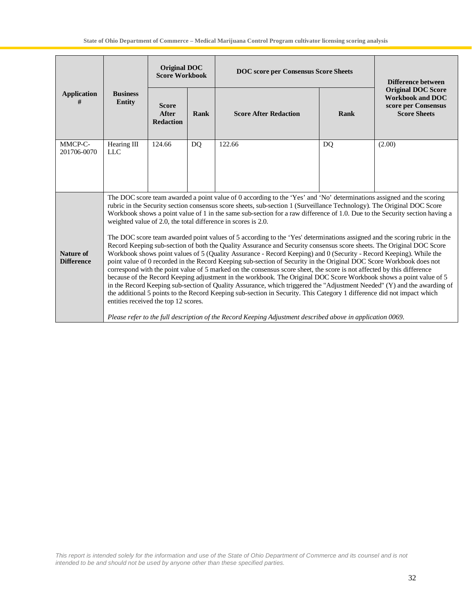|                                |                                      | Original DOC<br><b>Score Workbook</b>            |      | <b>DOC</b> score per Consensus Score Sheets                                                                                                                                                                                                                                                                                                                                                                                                                                                                                                                                                                                                                                                                                                                                                                                                                                                                                                                                                                                                                                                                                                                                                                                                                                                                                                                                                                                                                                                                                                                          | Difference between |                                                                                                    |
|--------------------------------|--------------------------------------|--------------------------------------------------|------|----------------------------------------------------------------------------------------------------------------------------------------------------------------------------------------------------------------------------------------------------------------------------------------------------------------------------------------------------------------------------------------------------------------------------------------------------------------------------------------------------------------------------------------------------------------------------------------------------------------------------------------------------------------------------------------------------------------------------------------------------------------------------------------------------------------------------------------------------------------------------------------------------------------------------------------------------------------------------------------------------------------------------------------------------------------------------------------------------------------------------------------------------------------------------------------------------------------------------------------------------------------------------------------------------------------------------------------------------------------------------------------------------------------------------------------------------------------------------------------------------------------------------------------------------------------------|--------------------|----------------------------------------------------------------------------------------------------|
| <b>Application</b><br>#        | <b>Business</b><br><b>Entity</b>     | <b>Score</b><br><b>After</b><br><b>Redaction</b> | Rank | <b>Score After Redaction</b>                                                                                                                                                                                                                                                                                                                                                                                                                                                                                                                                                                                                                                                                                                                                                                                                                                                                                                                                                                                                                                                                                                                                                                                                                                                                                                                                                                                                                                                                                                                                         | <b>Rank</b>        | <b>Original DOC Score</b><br><b>Workbook and DOC</b><br>score per Consensus<br><b>Score Sheets</b> |
| MMCP-C-<br>201706-0070         | Hearing III<br><b>LLC</b>            | 124.66                                           | DQ   | 122.66                                                                                                                                                                                                                                                                                                                                                                                                                                                                                                                                                                                                                                                                                                                                                                                                                                                                                                                                                                                                                                                                                                                                                                                                                                                                                                                                                                                                                                                                                                                                                               | DQ                 | (2.00)                                                                                             |
| Nature of<br><b>Difference</b> | entities received the top 12 scores. |                                                  |      | The DOC score team awarded a point value of 0 according to the 'Yes' and 'No' determinations assigned and the scoring<br>rubric in the Security section consensus score sheets, sub-section 1 (Surveillance Technology). The Original DOC Score<br>Workbook shows a point value of 1 in the same sub-section for a raw difference of 1.0. Due to the Security section having a<br>weighted value of 2.0, the total difference in scores is 2.0.<br>The DOC score team awarded point values of 5 according to the 'Yes' determinations assigned and the scoring rubric in the<br>Record Keeping sub-section of both the Quality Assurance and Security consensus score sheets. The Original DOC Score<br>Workbook shows point values of 5 (Quality Assurance - Record Keeping) and 0 (Security - Record Keeping). While the<br>point value of 0 recorded in the Record Keeping sub-section of Security in the Original DOC Score Workbook does not<br>correspond with the point value of 5 marked on the consensus score sheet, the score is not affected by this difference<br>because of the Record Keeping adjustment in the workbook. The Original DOC Score Workbook shows a point value of 5<br>in the Record Keeping sub-section of Quality Assurance, which triggered the "Adjustment Needed" (Y) and the awarding of<br>the additional 5 points to the Record Keeping sub-section in Security. This Category 1 difference did not impact which<br>Please refer to the full description of the Record Keeping Adjustment described above in application 0069. |                    |                                                                                                    |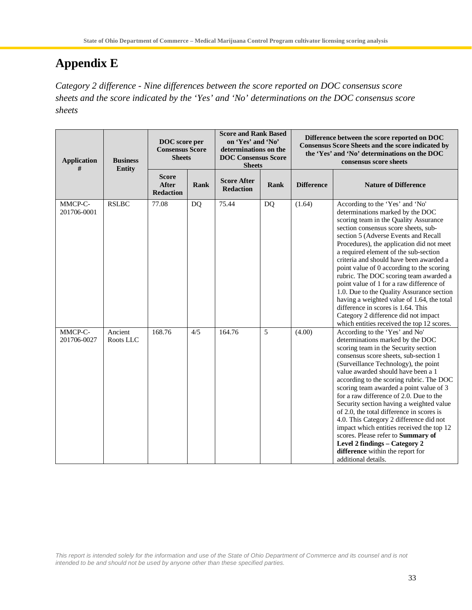# **Appendix E**

*Category 2 difference - Nine differences between the score reported on DOC consensus score sheets and the score indicated by the 'Yes' and 'No' determinations on the DOC consensus score sheets*

| <b>Application</b><br># | <b>Business</b><br><b>Entity</b> | DOC score per<br><b>Consensus Score</b><br><b>Sheets</b> |      | <b>Score and Rank Based</b><br>on 'Yes' and 'No'<br>determinations on the<br><b>DOC Consensus Score</b><br><b>Sheets</b> |      |                   | Difference between the score reported on DOC<br><b>Consensus Score Sheets and the score indicated by</b><br>the 'Yes' and 'No' determinations on the DOC<br>consensus score sheets                                                                                                                                                                                                                                                                                                                                                                                                                                                                                                      |
|-------------------------|----------------------------------|----------------------------------------------------------|------|--------------------------------------------------------------------------------------------------------------------------|------|-------------------|-----------------------------------------------------------------------------------------------------------------------------------------------------------------------------------------------------------------------------------------------------------------------------------------------------------------------------------------------------------------------------------------------------------------------------------------------------------------------------------------------------------------------------------------------------------------------------------------------------------------------------------------------------------------------------------------|
|                         |                                  | <b>Score</b><br>After<br><b>Redaction</b>                | Rank | <b>Score After</b><br><b>Redaction</b>                                                                                   | Rank | <b>Difference</b> | <b>Nature of Difference</b>                                                                                                                                                                                                                                                                                                                                                                                                                                                                                                                                                                                                                                                             |
| MMCP-C-<br>201706-0001  | <b>RSLBC</b>                     | 77.08                                                    | DQ   | 75.44                                                                                                                    | DQ   | (1.64)            | According to the 'Yes' and 'No'<br>determinations marked by the DOC<br>scoring team in the Quality Assurance<br>section consensus score sheets, sub-<br>section 5 (Adverse Events and Recall<br>Procedures), the application did not meet<br>a required element of the sub-section<br>criteria and should have been awarded a<br>point value of 0 according to the scoring<br>rubric. The DOC scoring team awarded a<br>point value of 1 for a raw difference of<br>1.0. Due to the Quality Assurance section<br>having a weighted value of 1.64, the total<br>difference in scores is 1.64. This<br>Category 2 difference did not impact<br>which entities received the top 12 scores. |
| MMCP-C-<br>201706-0027  | Ancient<br>Roots LLC             | 168.76                                                   | 4/5  | 164.76                                                                                                                   | 5    | (4.00)            | According to the 'Yes' and No'<br>determinations marked by the DOC<br>scoring team in the Security section<br>consensus score sheets, sub-section 1<br>(Surveillance Technology), the point<br>value awarded should have been a 1<br>according to the scoring rubric. The DOC<br>scoring team awarded a point value of 3<br>for a raw difference of 2.0. Due to the<br>Security section having a weighted value<br>of 2.0, the total difference in scores is<br>4.0. This Category 2 difference did not<br>impact which entities received the top 12<br>scores. Please refer to Summary of<br>Level 2 findings - Category 2<br>difference within the report for<br>additional details.  |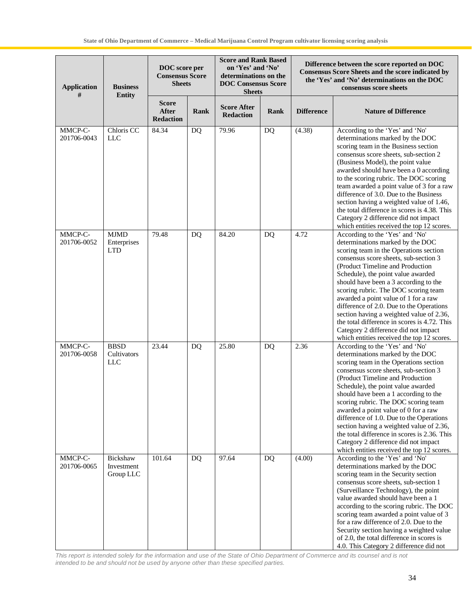| <b>Application</b><br># | <b>Business</b><br><b>Entity</b>         | DOC score per<br><b>Consensus Score</b><br><b>Sheets</b> |           | <b>Score and Rank Based</b><br>on 'Yes' and 'No'<br>determinations on the<br><b>DOC Consensus Score</b><br><b>Sheets</b> |           | Difference between the score reported on DOC<br>Consensus Score Sheets and the score indicated by<br>the 'Yes' and 'No' determinations on the DOC<br>consensus score sheets |                                                                                                                                                                                                                                                                                                                                                                                                                                                                                                                                                                                         |  |
|-------------------------|------------------------------------------|----------------------------------------------------------|-----------|--------------------------------------------------------------------------------------------------------------------------|-----------|-----------------------------------------------------------------------------------------------------------------------------------------------------------------------------|-----------------------------------------------------------------------------------------------------------------------------------------------------------------------------------------------------------------------------------------------------------------------------------------------------------------------------------------------------------------------------------------------------------------------------------------------------------------------------------------------------------------------------------------------------------------------------------------|--|
|                         |                                          | <b>Score</b><br><b>After</b><br><b>Redaction</b>         | Rank      | <b>Score After</b><br><b>Redaction</b>                                                                                   | Rank      | <b>Difference</b>                                                                                                                                                           | <b>Nature of Difference</b>                                                                                                                                                                                                                                                                                                                                                                                                                                                                                                                                                             |  |
| MMCP-C-<br>201706-0043  | Chloris CC<br><b>LLC</b>                 | 84.34                                                    | <b>DQ</b> | 79.96                                                                                                                    | DQ        | (4.38)                                                                                                                                                                      | According to the 'Yes' and 'No'<br>determinations marked by the DOC<br>scoring team in the Business section<br>consensus score sheets, sub-section 2<br>(Business Model), the point value<br>awarded should have been a 0 according<br>to the scoring rubric. The DOC scoring<br>team awarded a point value of 3 for a raw<br>difference of 3.0. Due to the Business<br>section having a weighted value of 1.46,<br>the total difference in scores is 4.38. This<br>Category 2 difference did not impact<br>which entities received the top 12 scores.                                  |  |
| MMCP-C-<br>201706-0052  | <b>MJMD</b><br>Enterprises<br><b>LTD</b> | 79.48                                                    | DQ        | 84.20                                                                                                                    | DQ        | 4.72                                                                                                                                                                        | According to the 'Yes' and 'No'<br>determinations marked by the DOC<br>scoring team in the Operations section<br>consensus score sheets, sub-section 3<br>(Product Timeline and Production<br>Schedule), the point value awarded<br>should have been a 3 according to the<br>scoring rubric. The DOC scoring team<br>awarded a point value of 1 for a raw<br>difference of 2.0. Due to the Operations<br>section having a weighted value of 2.36,<br>the total difference in scores is 4.72. This<br>Category 2 difference did not impact<br>which entities received the top 12 scores. |  |
| MMCP-C-<br>201706-0058  | <b>BBSD</b><br>Cultivators<br><b>LLC</b> | 23.44                                                    | DQ        | 25.80                                                                                                                    | <b>DQ</b> | 2.36                                                                                                                                                                        | According to the 'Yes' and 'No'<br>determinations marked by the DOC<br>scoring team in the Operations section<br>consensus score sheets, sub-section 3<br>(Product Timeline and Production<br>Schedule), the point value awarded<br>should have been a 1 according to the<br>scoring rubric. The DOC scoring team<br>awarded a point value of 0 for a raw<br>difference of 1.0. Due to the Operations<br>section having a weighted value of 2.36,<br>the total difference in scores is 2.36. This<br>Category 2 difference did not impact<br>which entities received the top 12 scores. |  |
| MMCP-C-<br>201706-0065  | Bickshaw<br>Investment<br>Group LLC      | 101.64                                                   | DQ        | 97.64                                                                                                                    | <b>DQ</b> | (4.00)                                                                                                                                                                      | According to the 'Yes' and 'No'<br>determinations marked by the DOC<br>scoring team in the Security section<br>consensus score sheets, sub-section 1<br>(Surveillance Technology), the point<br>value awarded should have been a 1<br>according to the scoring rubric. The DOC<br>scoring team awarded a point value of 3<br>for a raw difference of 2.0. Due to the<br>Security section having a weighted value<br>of 2.0, the total difference in scores is<br>4.0. This Category 2 difference did not                                                                                |  |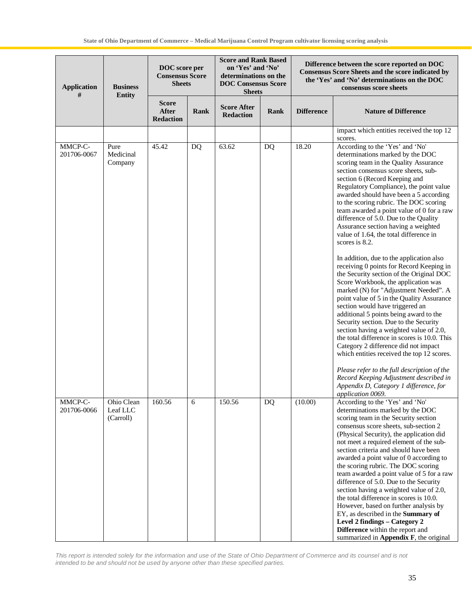| <b>Application</b><br># | <b>Business</b><br><b>Entity</b>    | DOC score per<br><b>Consensus Score</b><br><b>Sheets</b> |      |                                        | <b>Score and Rank Based</b><br>on 'Yes' and 'No'<br>determinations on the<br><b>DOC Consensus Score</b><br><b>Sheets</b> |                   | Difference between the score reported on DOC<br>Consensus Score Sheets and the score indicated by<br>the 'Yes' and 'No' determinations on the DOC<br>consensus score sheets                                                                                                                                                                                                                                                                                                                                                                                                                                                                                                                                                                                                                                                                                                                                                                                                                                                                                                                                                                                                                                              |  |
|-------------------------|-------------------------------------|----------------------------------------------------------|------|----------------------------------------|--------------------------------------------------------------------------------------------------------------------------|-------------------|--------------------------------------------------------------------------------------------------------------------------------------------------------------------------------------------------------------------------------------------------------------------------------------------------------------------------------------------------------------------------------------------------------------------------------------------------------------------------------------------------------------------------------------------------------------------------------------------------------------------------------------------------------------------------------------------------------------------------------------------------------------------------------------------------------------------------------------------------------------------------------------------------------------------------------------------------------------------------------------------------------------------------------------------------------------------------------------------------------------------------------------------------------------------------------------------------------------------------|--|
|                         |                                     | <b>Score</b><br>After<br><b>Redaction</b>                | Rank | <b>Score After</b><br><b>Redaction</b> | Rank                                                                                                                     | <b>Difference</b> | <b>Nature of Difference</b>                                                                                                                                                                                                                                                                                                                                                                                                                                                                                                                                                                                                                                                                                                                                                                                                                                                                                                                                                                                                                                                                                                                                                                                              |  |
|                         |                                     |                                                          |      |                                        |                                                                                                                          |                   | impact which entities received the top 12<br>scores.                                                                                                                                                                                                                                                                                                                                                                                                                                                                                                                                                                                                                                                                                                                                                                                                                                                                                                                                                                                                                                                                                                                                                                     |  |
| MMCP-C-<br>201706-0067  | Pure<br>Medicinal<br>Company        | 45.42                                                    | DQ   | 63.62                                  | DQ                                                                                                                       | 18.20             | According to the 'Yes' and 'No'<br>determinations marked by the DOC<br>scoring team in the Quality Assurance<br>section consensus score sheets, sub-<br>section 6 (Record Keeping and<br>Regulatory Compliance), the point value<br>awarded should have been a 5 according<br>to the scoring rubric. The DOC scoring<br>team awarded a point value of 0 for a raw<br>difference of 5.0. Due to the Quality<br>Assurance section having a weighted<br>value of 1.64, the total difference in<br>scores is 8.2.<br>In addition, due to the application also<br>receiving 0 points for Record Keeping in<br>the Security section of the Original DOC<br>Score Workbook, the application was<br>marked (N) for "Adjustment Needed". A<br>point value of 5 in the Quality Assurance<br>section would have triggered an<br>additional 5 points being award to the<br>Security section. Due to the Security<br>section having a weighted value of 2.0,<br>the total difference in scores is 10.0. This<br>Category 2 difference did not impact<br>which entities received the top 12 scores.<br>Please refer to the full description of the<br>Record Keeping Adjustment described in<br>Appendix D, Category 1 difference, for |  |
| MMCP-C-<br>201706-0066  | Ohio Clean<br>Leaf LLC<br>(Carroll) | 160.56                                                   | 6    | 150.56                                 | DQ                                                                                                                       | (10.00)           | application 0069.<br>According to the 'Yes' and 'No'<br>determinations marked by the DOC<br>scoring team in the Security section<br>consensus score sheets, sub-section 2<br>(Physical Security), the application did<br>not meet a required element of the sub-<br>section criteria and should have been<br>awarded a point value of 0 according to<br>the scoring rubric. The DOC scoring<br>team awarded a point value of 5 for a raw<br>difference of 5.0. Due to the Security<br>section having a weighted value of 2.0,<br>the total difference in scores is 10.0.<br>However, based on further analysis by<br>EY, as described in the Summary of<br>Level 2 findings - Category 2<br>Difference within the report and<br>summarized in Appendix F, the original                                                                                                                                                                                                                                                                                                                                                                                                                                                   |  |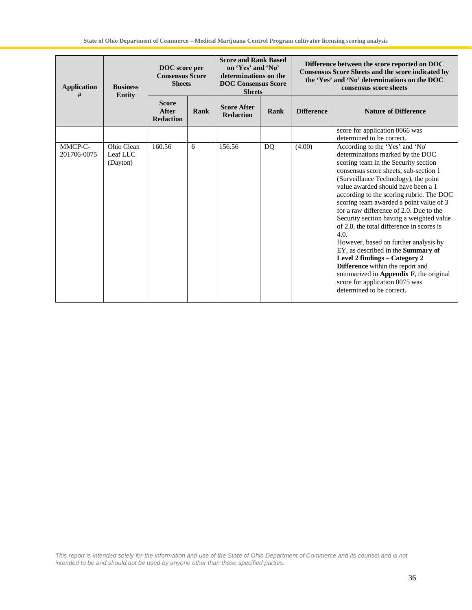| <b>Application</b><br><b>Business</b><br><b>Entity</b><br># |                                    | DOC score per<br><b>Consensus Score</b><br><b>Sheets</b> |      | <b>Score and Rank Based</b><br>on 'Yes' and 'No'<br>determinations on the<br><b>DOC Consensus Score</b><br><b>Sheets</b> |    | Difference between the score reported on DOC<br>Consensus Score Sheets and the score indicated by<br>the 'Yes' and 'No' determinations on the DOC<br>consensus score sheets |                                                                                                                                                                                                                                                                                                                                                                                                                                                                                                                                                                                                                                                                                                                                       |  |
|-------------------------------------------------------------|------------------------------------|----------------------------------------------------------|------|--------------------------------------------------------------------------------------------------------------------------|----|-----------------------------------------------------------------------------------------------------------------------------------------------------------------------------|---------------------------------------------------------------------------------------------------------------------------------------------------------------------------------------------------------------------------------------------------------------------------------------------------------------------------------------------------------------------------------------------------------------------------------------------------------------------------------------------------------------------------------------------------------------------------------------------------------------------------------------------------------------------------------------------------------------------------------------|--|
|                                                             |                                    | <b>Score</b><br>After<br><b>Redaction</b>                | Rank | <b>Score After</b><br>Rank<br><b>Redaction</b>                                                                           |    | <b>Difference</b>                                                                                                                                                           | <b>Nature of Difference</b>                                                                                                                                                                                                                                                                                                                                                                                                                                                                                                                                                                                                                                                                                                           |  |
|                                                             |                                    |                                                          |      |                                                                                                                          |    |                                                                                                                                                                             | score for application 0066 was<br>determined to be correct.                                                                                                                                                                                                                                                                                                                                                                                                                                                                                                                                                                                                                                                                           |  |
| MMCP-C-<br>201706-0075                                      | Ohio Clean<br>Leaf LLC<br>(Dayton) | 160.56                                                   | 6    | 156.56                                                                                                                   | DQ | (4.00)                                                                                                                                                                      | According to the 'Yes' and 'No'<br>determinations marked by the DOC<br>scoring team in the Security section<br>consensus score sheets, sub-section 1<br>(Surveillance Technology), the point<br>value awarded should have been a 1<br>according to the scoring rubric. The DOC<br>scoring team awarded a point value of 3<br>for a raw difference of 2.0. Due to the<br>Security section having a weighted value<br>of 2.0, the total difference in scores is<br>4.0.<br>However, based on further analysis by<br>EY, as described in the Summary of<br>Level 2 findings - Category 2<br>Difference within the report and<br>summarized in Appendix $F$ , the original<br>score for application 0075 was<br>determined to be correct. |  |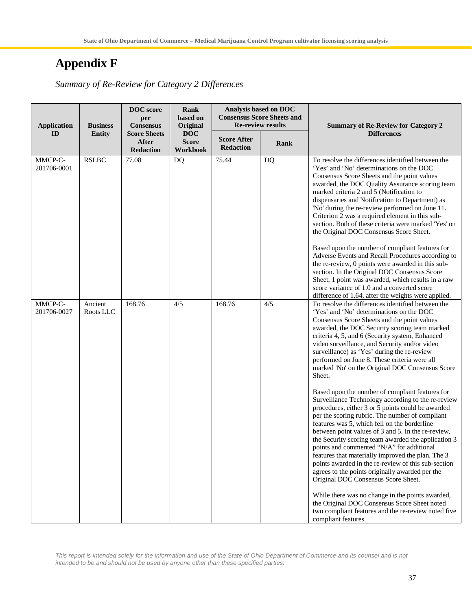# **Appendix F**

*Summary of Re-Review for Category 2 Differences*

| <b>Application</b>     | <b>Business</b>      | <b>DOC</b> score<br>Rank<br>based on<br>per<br>Original<br><b>Consensus</b> |                                        |                                        | Analysis based on DOC<br><b>Consensus Score Sheets and</b><br><b>Re-review results</b> | <b>Summary of Re-Review for Category 2</b>                                                                                                                                                                                                                                                                                                                                                                                                                                                                                                                                                                                    |
|------------------------|----------------------|-----------------------------------------------------------------------------|----------------------------------------|----------------------------------------|----------------------------------------------------------------------------------------|-------------------------------------------------------------------------------------------------------------------------------------------------------------------------------------------------------------------------------------------------------------------------------------------------------------------------------------------------------------------------------------------------------------------------------------------------------------------------------------------------------------------------------------------------------------------------------------------------------------------------------|
| ID                     | <b>Entity</b>        | <b>Score Sheets</b><br><b>After</b><br><b>Redaction</b>                     | <b>DOC</b><br><b>Score</b><br>Workbook | <b>Score After</b><br><b>Redaction</b> | <b>Rank</b>                                                                            | <b>Differences</b>                                                                                                                                                                                                                                                                                                                                                                                                                                                                                                                                                                                                            |
| MMCP-C-<br>201706-0001 | <b>RSLBC</b>         | 77.08                                                                       | DQ                                     | 75.44                                  | DQ                                                                                     | To resolve the differences identified between the<br>'Yes' and 'No' determinations on the DOC<br>Consensus Score Sheets and the point values<br>awarded, the DOC Quality Assurance scoring team<br>marked criteria 2 and 5 (Notification to<br>dispensaries and Notification to Department) as<br>'No' during the re-review performed on June 11.<br>Criterion 2 was a required element in this sub-<br>section. Both of these criteria were marked 'Yes' on<br>the Original DOC Consensus Score Sheet.                                                                                                                       |
|                        |                      |                                                                             |                                        |                                        |                                                                                        | Based upon the number of compliant features for<br>Adverse Events and Recall Procedures according to<br>the re-review, 0 points were awarded in this sub-<br>section. In the Original DOC Consensus Score<br>Sheet, 1 point was awarded, which results in a raw<br>score variance of 1.0 and a converted score<br>difference of 1.64, after the weights were applied.                                                                                                                                                                                                                                                         |
| MMCP-C-<br>201706-0027 | Ancient<br>Roots LLC | 168.76                                                                      | 4/5                                    | 168.76                                 | 4/5                                                                                    | To resolve the differences identified between the<br>'Yes' and 'No' determinations on the DOC<br>Consensus Score Sheets and the point values<br>awarded, the DOC Security scoring team marked<br>criteria 4, 5, and 6 (Security system, Enhanced<br>video surveillance, and Security and/or video<br>surveillance) as 'Yes' during the re-review<br>performed on June 8. These criteria were all<br>marked 'No' on the Original DOC Consensus Score<br>Sheet.                                                                                                                                                                 |
|                        |                      |                                                                             |                                        |                                        |                                                                                        | Based upon the number of compliant features for<br>Surveillance Technology according to the re-review<br>procedures, either 3 or 5 points could be awarded<br>per the scoring rubric. The number of compliant<br>features was 5, which fell on the borderline<br>between point values of 3 and 5. In the re-review,<br>the Security scoring team awarded the application 3<br>points and commented "N/A" for additional<br>features that materially improved the plan. The 3<br>points awarded in the re-review of this sub-section<br>agrees to the points originally awarded per the<br>Original DOC Consensus Score Sheet. |
|                        |                      |                                                                             |                                        |                                        |                                                                                        | While there was no change in the points awarded,<br>the Original DOC Consensus Score Sheet noted<br>two compliant features and the re-review noted five<br>compliant features.                                                                                                                                                                                                                                                                                                                                                                                                                                                |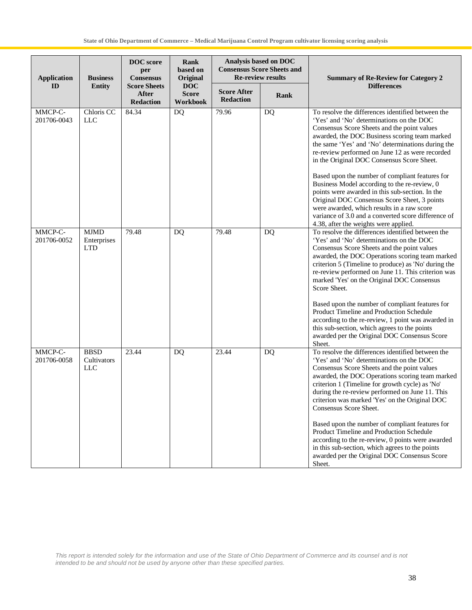| <b>Application</b>     | <b>Business</b>                          | <b>DOC</b> score<br>per<br><b>Consensus</b>             | <b>Rank</b><br>based on<br>Original    | <b>Re-review results</b>               | Analysis based on DOC<br><b>Consensus Score Sheets and</b> | <b>Summary of Re-Review for Category 2</b>                                                                                                                                                                                                                                                                                                                                        |
|------------------------|------------------------------------------|---------------------------------------------------------|----------------------------------------|----------------------------------------|------------------------------------------------------------|-----------------------------------------------------------------------------------------------------------------------------------------------------------------------------------------------------------------------------------------------------------------------------------------------------------------------------------------------------------------------------------|
| ID                     | <b>Entity</b>                            | <b>Score Sheets</b><br><b>After</b><br><b>Redaction</b> | <b>DOC</b><br><b>Score</b><br>Workbook | <b>Score After</b><br><b>Redaction</b> | <b>Rank</b>                                                | <b>Differences</b>                                                                                                                                                                                                                                                                                                                                                                |
| MMCP-C-<br>201706-0043 | Chloris CC<br>LLC                        | 84.34                                                   | DQ                                     | 79.96                                  | DQ                                                         | To resolve the differences identified between the<br>'Yes' and 'No' determinations on the DOC<br>Consensus Score Sheets and the point values<br>awarded, the DOC Business scoring team marked<br>the same 'Yes' and 'No' determinations during the<br>re-review performed on June 12 as were recorded<br>in the Original DOC Consensus Score Sheet.                               |
|                        |                                          |                                                         |                                        |                                        |                                                            | Based upon the number of compliant features for<br>Business Model according to the re-review, 0<br>points were awarded in this sub-section. In the<br>Original DOC Consensus Score Sheet, 3 points<br>were awarded, which results in a raw score<br>variance of 3.0 and a converted score difference of<br>4.38, after the weights were applied.                                  |
| MMCP-C-<br>201706-0052 | <b>MJMD</b><br>Enterprises<br><b>LTD</b> | 79.48                                                   | DQ                                     | 79.48                                  | DQ                                                         | To resolve the differences identified between the<br>'Yes' and 'No' determinations on the DOC<br>Consensus Score Sheets and the point values<br>awarded, the DOC Operations scoring team marked<br>criterion 5 (Timeline to produce) as 'No' during the<br>re-review performed on June 11. This criterion was<br>marked 'Yes' on the Original DOC Consensus<br>Score Sheet.       |
|                        |                                          |                                                         |                                        |                                        |                                                            | Based upon the number of compliant features for<br>Product Timeline and Production Schedule<br>according to the re-review, 1 point was awarded in<br>this sub-section, which agrees to the points<br>awarded per the Original DOC Consensus Score<br>Sheet.                                                                                                                       |
| MMCP-C-<br>201706-0058 | <b>BBSD</b><br>Cultivators<br><b>LLC</b> | 23.44                                                   | DQ                                     | 23.44                                  | DQ                                                         | To resolve the differences identified between the<br>'Yes' and 'No' determinations on the DOC<br>Consensus Score Sheets and the point values<br>awarded, the DOC Operations scoring team marked<br>criterion 1 (Timeline for growth cycle) as 'No'<br>during the re-review performed on June 11. This<br>criterion was marked 'Yes' on the Original DOC<br>Consensus Score Sheet. |
|                        |                                          |                                                         |                                        |                                        |                                                            | Based upon the number of compliant features for<br>Product Timeline and Production Schedule<br>according to the re-review, 0 points were awarded<br>in this sub-section, which agrees to the points<br>awarded per the Original DOC Consensus Score<br>Sheet.                                                                                                                     |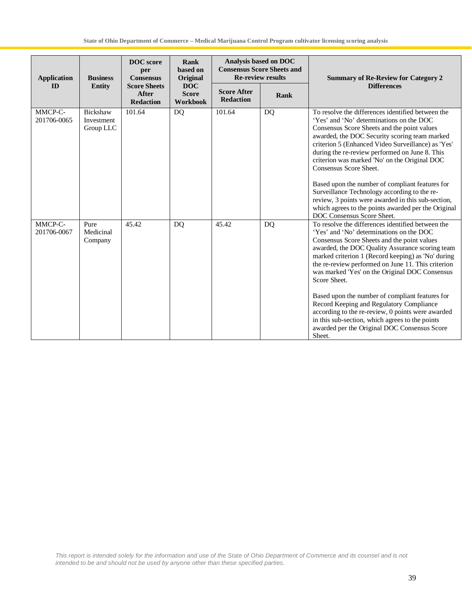| <b>Application</b>     | <b>Business</b>                     | <b>DOC</b> score<br>per<br><b>Consensus</b>             | Rank<br>based on<br>Original                  | Analysis based on DOC<br><b>Consensus Score Sheets and</b><br><b>Re-review results</b> |           | <b>Summary of Re-Review for Category 2</b>                                                                                                                                                                                                                                                                                                                                                                                                                                                                                                                                                                                                     |
|------------------------|-------------------------------------|---------------------------------------------------------|-----------------------------------------------|----------------------------------------------------------------------------------------|-----------|------------------------------------------------------------------------------------------------------------------------------------------------------------------------------------------------------------------------------------------------------------------------------------------------------------------------------------------------------------------------------------------------------------------------------------------------------------------------------------------------------------------------------------------------------------------------------------------------------------------------------------------------|
| <b>ID</b>              | <b>Entity</b>                       | <b>Score Sheets</b><br><b>After</b><br><b>Redaction</b> | <b>DOC</b><br><b>Score</b><br><b>Workbook</b> | <b>Score After</b><br><b>Redaction</b>                                                 | Rank      | <b>Differences</b>                                                                                                                                                                                                                                                                                                                                                                                                                                                                                                                                                                                                                             |
| MMCP-C-<br>201706-0065 | Bickshaw<br>Investment<br>Group LLC | 101.64                                                  | <b>DQ</b>                                     | 101.64                                                                                 | <b>DQ</b> | To resolve the differences identified between the<br>'Yes' and 'No' determinations on the DOC<br>Consensus Score Sheets and the point values<br>awarded, the DOC Security scoring team marked<br>criterion 5 (Enhanced Video Surveillance) as 'Yes'<br>during the re-review performed on June 8. This<br>criterion was marked 'No' on the Original DOC<br>Consensus Score Sheet.<br>Based upon the number of compliant features for<br>Surveillance Technology according to the re-<br>review, 3 points were awarded in this sub-section,<br>which agrees to the points awarded per the Original<br>DOC Consensus Score Sheet.                 |
| MMCP-C-<br>201706-0067 | Pure<br>Medicinal<br>Company        | 45.42                                                   | <b>DQ</b>                                     | 45.42                                                                                  | <b>DQ</b> | To resolve the differences identified between the<br>'Yes' and 'No' determinations on the DOC<br>Consensus Score Sheets and the point values<br>awarded, the DOC Quality Assurance scoring team<br>marked criterion 1 (Record keeping) as 'No' during<br>the re-review performed on June 11. This criterion<br>was marked 'Yes' on the Original DOC Consensus<br>Score Sheet.<br>Based upon the number of compliant features for<br>Record Keeping and Regulatory Compliance<br>according to the re-review, 0 points were awarded<br>in this sub-section, which agrees to the points<br>awarded per the Original DOC Consensus Score<br>Sheet. |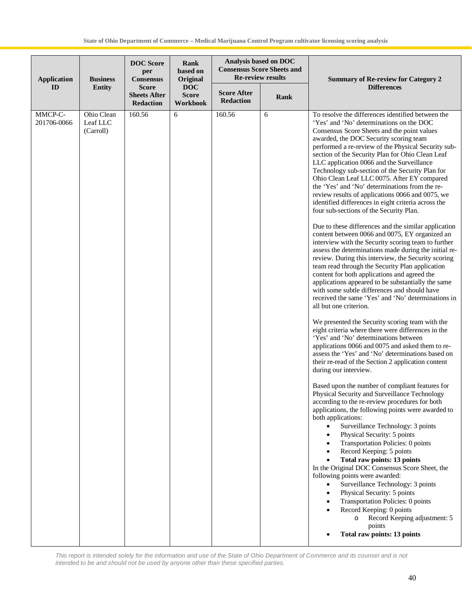| <b>Application</b>     | <b>Business</b>                     | <b>DOC</b> Score<br>per<br><b>Consensus</b>             | Rank<br>based on<br>Original           | <b>Re-review results</b>               | <b>Analysis based on DOC</b><br><b>Consensus Score Sheets and</b> | <b>Summary of Re-review for Category 2</b>                                                                                                                                                                                                                                                                                                                                                                                                                                                                                                                                                                                                                                                                                                                                                                                                                                                                                                                                                                                                                                                                                                                                                                                                                                                                                                                                                                                                                                                                                                                                                                                                                                                                                                                                                                                                                                                                                                                                                                                                                                                                                                                                                                                                                                                                                                            |
|------------------------|-------------------------------------|---------------------------------------------------------|----------------------------------------|----------------------------------------|-------------------------------------------------------------------|-------------------------------------------------------------------------------------------------------------------------------------------------------------------------------------------------------------------------------------------------------------------------------------------------------------------------------------------------------------------------------------------------------------------------------------------------------------------------------------------------------------------------------------------------------------------------------------------------------------------------------------------------------------------------------------------------------------------------------------------------------------------------------------------------------------------------------------------------------------------------------------------------------------------------------------------------------------------------------------------------------------------------------------------------------------------------------------------------------------------------------------------------------------------------------------------------------------------------------------------------------------------------------------------------------------------------------------------------------------------------------------------------------------------------------------------------------------------------------------------------------------------------------------------------------------------------------------------------------------------------------------------------------------------------------------------------------------------------------------------------------------------------------------------------------------------------------------------------------------------------------------------------------------------------------------------------------------------------------------------------------------------------------------------------------------------------------------------------------------------------------------------------------------------------------------------------------------------------------------------------------------------------------------------------------------------------------------------------------|
| ID                     | <b>Entity</b>                       | <b>Score</b><br><b>Sheets After</b><br><b>Redaction</b> | <b>DOC</b><br><b>Score</b><br>Workbook | <b>Score After</b><br><b>Redaction</b> | Rank                                                              | <b>Differences</b>                                                                                                                                                                                                                                                                                                                                                                                                                                                                                                                                                                                                                                                                                                                                                                                                                                                                                                                                                                                                                                                                                                                                                                                                                                                                                                                                                                                                                                                                                                                                                                                                                                                                                                                                                                                                                                                                                                                                                                                                                                                                                                                                                                                                                                                                                                                                    |
| MMCP-C-<br>201706-0066 | Ohio Clean<br>Leaf LLC<br>(Carroll) | 160.56                                                  | 6                                      | 160.56                                 | 6                                                                 | To resolve the differences identified between the<br>'Yes' and 'No' determinations on the DOC<br>Consensus Score Sheets and the point values<br>awarded, the DOC Security scoring team<br>performed a re-review of the Physical Security sub-<br>section of the Security Plan for Ohio Clean Leaf<br>LLC application 0066 and the Surveillance<br>Technology sub-section of the Security Plan for<br>Ohio Clean Leaf LLC 0075. After EY compared<br>the 'Yes' and 'No' determinations from the re-<br>review results of applications 0066 and 0075, we<br>identified differences in eight criteria across the<br>four sub-sections of the Security Plan.<br>Due to these differences and the similar application<br>content between 0066 and 0075, EY organized an<br>interview with the Security scoring team to further<br>assess the determinations made during the initial re-<br>review. During this interview, the Security scoring<br>team read through the Security Plan application<br>content for both applications and agreed the<br>applications appeared to be substantially the same<br>with some subtle differences and should have<br>received the same 'Yes' and 'No' determinations in<br>all but one criterion.<br>We presented the Security scoring team with the<br>eight criteria where there were differences in the<br>'Yes' and 'No' determinations between<br>applications 0066 and 0075 and asked them to re-<br>assess the 'Yes' and 'No' determinations based on<br>their re-read of the Section 2 application content<br>during our interview.<br>Based upon the number of compliant features for<br>Physical Security and Surveillance Technology<br>according to the re-review procedures for both<br>applications, the following points were awarded to<br>both applications:<br>Surveillance Technology: 3 points<br>$\bullet$<br>Physical Security: 5 points<br>$\bullet$<br>Transportation Policies: 0 points<br>$\bullet$<br>Record Keeping: 5 points<br>$\bullet$<br><b>Total raw points: 13 points</b><br>In the Original DOC Consensus Score Sheet, the<br>following points were awarded:<br>Surveillance Technology: 3 points<br>$\bullet$<br>Physical Security: 5 points<br>$\bullet$<br>Transportation Policies: 0 points<br>Record Keeping: 0 points<br>Record Keeping adjustment: 5<br>$\circ$<br>points |
|                        |                                     |                                                         |                                        |                                        |                                                                   | <b>Total raw points: 13 points</b>                                                                                                                                                                                                                                                                                                                                                                                                                                                                                                                                                                                                                                                                                                                                                                                                                                                                                                                                                                                                                                                                                                                                                                                                                                                                                                                                                                                                                                                                                                                                                                                                                                                                                                                                                                                                                                                                                                                                                                                                                                                                                                                                                                                                                                                                                                                    |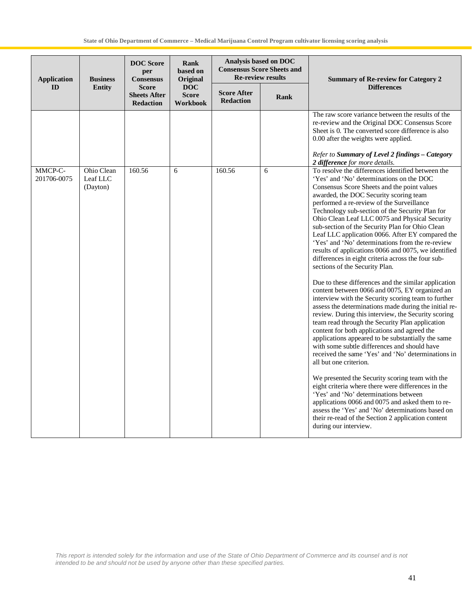| <b>Application</b>     | <b>Business</b>                    | <b>DOC</b> Score<br>per<br><b>Consensus</b>             | Rank<br>based on<br>Original           |                                        | Analysis based on DOC<br><b>Consensus Score Sheets and</b><br><b>Re-review results</b> | <b>Summary of Re-review for Category 2</b>                                                                                                                                                                                                                                                                                                                                                                                                                                                                                                                                                                                                                                                                                                                                                                                                                                                                                                                                                                                                                                                                                                                                                                                                                                                                                                                                                                                                                                                                                                                              |
|------------------------|------------------------------------|---------------------------------------------------------|----------------------------------------|----------------------------------------|----------------------------------------------------------------------------------------|-------------------------------------------------------------------------------------------------------------------------------------------------------------------------------------------------------------------------------------------------------------------------------------------------------------------------------------------------------------------------------------------------------------------------------------------------------------------------------------------------------------------------------------------------------------------------------------------------------------------------------------------------------------------------------------------------------------------------------------------------------------------------------------------------------------------------------------------------------------------------------------------------------------------------------------------------------------------------------------------------------------------------------------------------------------------------------------------------------------------------------------------------------------------------------------------------------------------------------------------------------------------------------------------------------------------------------------------------------------------------------------------------------------------------------------------------------------------------------------------------------------------------------------------------------------------------|
| ID                     | <b>Entity</b>                      | <b>Score</b><br><b>Sheets After</b><br><b>Redaction</b> | <b>DOC</b><br><b>Score</b><br>Workbook | <b>Score After</b><br><b>Redaction</b> | Rank                                                                                   | <b>Differences</b>                                                                                                                                                                                                                                                                                                                                                                                                                                                                                                                                                                                                                                                                                                                                                                                                                                                                                                                                                                                                                                                                                                                                                                                                                                                                                                                                                                                                                                                                                                                                                      |
|                        |                                    |                                                         |                                        |                                        |                                                                                        | The raw score variance between the results of the<br>re-review and the Original DOC Consensus Score<br>Sheet is 0. The converted score difference is also<br>0.00 after the weights were applied.<br>Refer to Summary of Level 2 findings - Category<br>2 difference for more details.                                                                                                                                                                                                                                                                                                                                                                                                                                                                                                                                                                                                                                                                                                                                                                                                                                                                                                                                                                                                                                                                                                                                                                                                                                                                                  |
| MMCP-C-<br>201706-0075 | Ohio Clean<br>Leaf LLC<br>(Dayton) | 160.56                                                  | 6                                      | 160.56                                 | 6                                                                                      | To resolve the differences identified between the<br>'Yes' and 'No' determinations on the DOC<br>Consensus Score Sheets and the point values<br>awarded, the DOC Security scoring team<br>performed a re-review of the Surveillance<br>Technology sub-section of the Security Plan for<br>Ohio Clean Leaf LLC 0075 and Physical Security<br>sub-section of the Security Plan for Ohio Clean<br>Leaf LLC application 0066. After EY compared the<br>'Yes' and 'No' determinations from the re-review<br>results of applications 0066 and 0075, we identified<br>differences in eight criteria across the four sub-<br>sections of the Security Plan.<br>Due to these differences and the similar application<br>content between 0066 and 0075, EY organized an<br>interview with the Security scoring team to further<br>assess the determinations made during the initial re-<br>review. During this interview, the Security scoring<br>team read through the Security Plan application<br>content for both applications and agreed the<br>applications appeared to be substantially the same<br>with some subtle differences and should have<br>received the same 'Yes' and 'No' determinations in<br>all but one criterion.<br>We presented the Security scoring team with the<br>eight criteria where there were differences in the<br>'Yes' and 'No' determinations between<br>applications 0066 and 0075 and asked them to re-<br>assess the 'Yes' and 'No' determinations based on<br>their re-read of the Section 2 application content<br>during our interview. |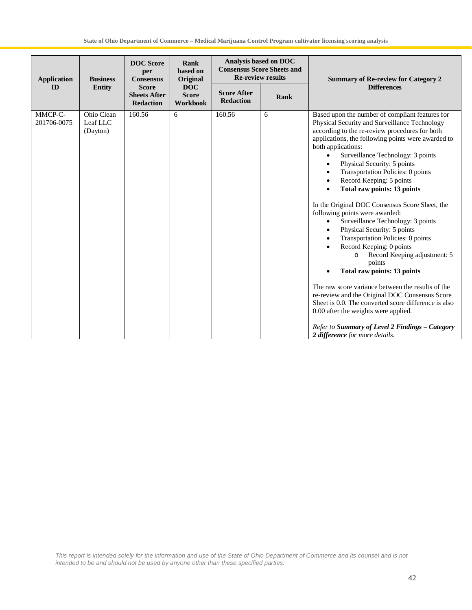| <b>Application</b>     | <b>Business</b>                    | <b>DOC</b> Score<br>per<br><b>Consensus</b>             | Rank<br>based on<br>Original           |                                        | Analysis based on DOC<br><b>Consensus Score Sheets and</b><br><b>Re-review results</b><br><b>Summary of Re-review for Category 2</b> |                                                                                                                                                                                                                                                                                                                                                                                                                                                                                                                                                                                                                                                                                                                                                                                                                                                                                                                                                                                                                            |
|------------------------|------------------------------------|---------------------------------------------------------|----------------------------------------|----------------------------------------|--------------------------------------------------------------------------------------------------------------------------------------|----------------------------------------------------------------------------------------------------------------------------------------------------------------------------------------------------------------------------------------------------------------------------------------------------------------------------------------------------------------------------------------------------------------------------------------------------------------------------------------------------------------------------------------------------------------------------------------------------------------------------------------------------------------------------------------------------------------------------------------------------------------------------------------------------------------------------------------------------------------------------------------------------------------------------------------------------------------------------------------------------------------------------|
| ID                     | <b>Entity</b>                      | <b>Score</b><br><b>Sheets After</b><br><b>Redaction</b> | <b>DOC</b><br><b>Score</b><br>Workbook | <b>Score After</b><br><b>Redaction</b> | <b>Rank</b>                                                                                                                          | <b>Differences</b>                                                                                                                                                                                                                                                                                                                                                                                                                                                                                                                                                                                                                                                                                                                                                                                                                                                                                                                                                                                                         |
| MMCP-C-<br>201706-0075 | Ohio Clean<br>Leaf LLC<br>(Dayton) | 160.56                                                  | 6                                      | 160.56                                 | 6                                                                                                                                    | Based upon the number of compliant features for<br>Physical Security and Surveillance Technology<br>according to the re-review procedures for both<br>applications, the following points were awarded to<br>both applications:<br>Surveillance Technology: 3 points<br>$\bullet$<br>Physical Security: 5 points<br>Transportation Policies: 0 points<br>Record Keeping: 5 points<br>Total raw points: 13 points<br>In the Original DOC Consensus Score Sheet, the<br>following points were awarded:<br>Surveillance Technology: 3 points<br>$\bullet$<br>Physical Security: 5 points<br>Transportation Policies: 0 points<br>Record Keeping: 0 points<br>Record Keeping adjustment: 5<br>points<br>Total raw points: 13 points<br>The raw score variance between the results of the<br>re-review and the Original DOC Consensus Score<br>Sheet is 0.0. The converted score difference is also<br>0.00 after the weights were applied.<br>Refer to Summary of Level 2 Findings - Category<br>2 difference for more details. |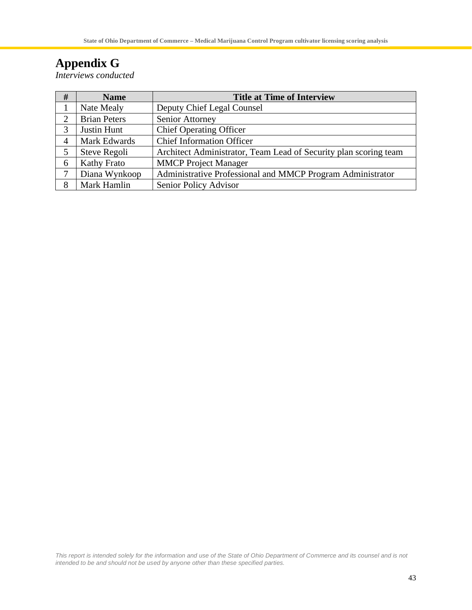# **Appendix G**

*Interviews conducted*

| #                           | <b>Name</b>         | <b>Title at Time of Interview</b>                                |
|-----------------------------|---------------------|------------------------------------------------------------------|
|                             | Nate Mealy          | Deputy Chief Legal Counsel                                       |
| $\mathcal{D}_{\mathcal{L}}$ | <b>Brian Peters</b> | Senior Attorney                                                  |
| 3                           | Justin Hunt         | <b>Chief Operating Officer</b>                                   |
|                             | Mark Edwards        | <b>Chief Information Officer</b>                                 |
|                             | Steve Regoli        | Architect Administrator, Team Lead of Security plan scoring team |
| 6                           | <b>Kathy Frato</b>  | <b>MMCP</b> Project Manager                                      |
|                             | Diana Wynkoop       | Administrative Professional and MMCP Program Administrator       |
| 8                           | Mark Hamlin         | Senior Policy Advisor                                            |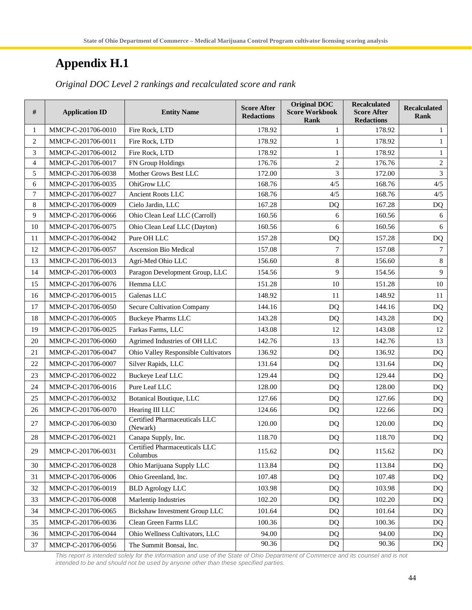# **Appendix H.1**

| #              | <b>Application ID</b> | <b>Entity Name</b>                               | <b>Score After</b><br><b>Redactions</b> | <b>Original DOC</b><br><b>Score Workbook</b><br><b>Rank</b> | <b>Recalculated</b><br><b>Score After</b><br><b>Redactions</b> | <b>Recalculated</b><br><b>Rank</b> |
|----------------|-----------------------|--------------------------------------------------|-----------------------------------------|-------------------------------------------------------------|----------------------------------------------------------------|------------------------------------|
| 1              | MMCP-C-201706-0010    | Fire Rock, LTD                                   | 178.92                                  | 1                                                           | 178.92                                                         | 1                                  |
| $\overline{c}$ | MMCP-C-201706-0011    | Fire Rock, LTD                                   | 178.92                                  | 1                                                           | 178.92                                                         | 1                                  |
| 3              | MMCP-C-201706-0012    | Fire Rock, LTD                                   | 178.92                                  | 1                                                           | 178.92                                                         | 1                                  |
| 4              | MMCP-C-201706-0017    | FN Group Holdings                                | 176.76                                  | $\overline{c}$                                              | 176.76                                                         | $\mathfrak{2}$                     |
| 5              | MMCP-C-201706-0038    | Mother Grows Best LLC                            | 172.00                                  | 3                                                           | 172.00                                                         | 3                                  |
| 6              | MMCP-C-201706-0035    | OhiGrow LLC                                      | 168.76                                  | 4/5                                                         | 168.76                                                         | 4/5                                |
| $\overline{7}$ | MMCP-C-201706-0027    | <b>Ancient Roots LLC</b>                         | 168.76                                  | 4/5                                                         | 168.76                                                         | 4/5                                |
| $\,8\,$        | MMCP-C-201706-0009    | Cielo Jardin, LLC                                | 167.28                                  | DQ                                                          | 167.28                                                         | <b>DQ</b>                          |
| 9              | MMCP-C-201706-0066    | Ohio Clean Leaf LLC (Carroll)                    | 160.56                                  | 6                                                           | 160.56                                                         | 6                                  |
| 10             | MMCP-C-201706-0075    | Ohio Clean Leaf LLC (Dayton)                     | 160.56                                  | 6                                                           | 160.56                                                         | 6                                  |
| 11             | MMCP-C-201706-0042    | Pure OH LLC                                      | 157.28                                  | <b>DQ</b>                                                   | 157.28                                                         | <b>DQ</b>                          |
| 12             | MMCP-C-201706-0057    | Ascension Bio Medical                            | 157.08                                  | 7                                                           | 157.08                                                         | $\tau$                             |
| 13             | MMCP-C-201706-0013    | Agri-Med Ohio LLC                                | 156.60                                  | 8                                                           | 156.60                                                         | $\,8\,$                            |
| 14             | MMCP-C-201706-0003    | Paragon Development Group, LLC                   | 154.56                                  | 9                                                           | 154.56                                                         | 9                                  |
| 15             | MMCP-C-201706-0076    | Hemma LLC                                        | 151.28                                  | 10                                                          | 151.28                                                         | 10                                 |
| 16             | MMCP-C-201706-0015    | Galenas LLC                                      | 148.92                                  | 11                                                          | 148.92                                                         | 11                                 |
| 17             | MMCP-C-201706-0050    | <b>Secure Cultivation Company</b>                | 144.16                                  | <b>DQ</b>                                                   | 144.16                                                         | <b>DQ</b>                          |
| 18             | MMCP-C-201706-0005    | <b>Buckeye Pharms LLC</b>                        | 143.28                                  | <b>DQ</b>                                                   | 143.28                                                         | DQ                                 |
| 19             | MMCP-C-201706-0025    | Farkas Farms, LLC                                | 143.08                                  | 12                                                          | 143.08                                                         | 12                                 |
| 20             | MMCP-C-201706-0060    | Agrimed Industries of OH LLC                     | 142.76                                  | 13                                                          | 142.76                                                         | 13                                 |
| 21             | MMCP-C-201706-0047    | Ohio Valley Responsible Cultivators              | 136.92                                  | D <sub>O</sub>                                              | 136.92                                                         | DQ                                 |
| 22             | MMCP-C-201706-0007    | Silver Rapids, LLC                               | 131.64                                  | DQ                                                          | 131.64                                                         | DQ                                 |
| 23             | MMCP-C-201706-0022    | <b>Buckeye Leaf LLC</b>                          | 129.44                                  | <b>DQ</b>                                                   | 129.44                                                         | DQ                                 |
| 24             | MMCP-C-201706-0016    | Pure Leaf LLC                                    | 128.00                                  | DQ                                                          | 128.00                                                         | DQ                                 |
| 25             | MMCP-C-201706-0032    | Botanical Boutique, LLC                          | 127.66                                  | <b>DQ</b>                                                   | 127.66                                                         | DQ                                 |
| 26             | MMCP-C-201706-0070    | Hearing III LLC                                  | 124.66                                  | DQ                                                          | 122.66                                                         | DQ                                 |
| 27             | MMCP-C-201706-0030    | <b>Certified Pharmaceuticals LLC</b><br>(Newark) | 120.00                                  | DQ                                                          | 120.00                                                         | DQ                                 |
| 28             | MMCP-C-201706-0021    | Canapa Supply, Inc.                              | 118.70                                  | DQ                                                          | 118.70                                                         | DQ                                 |
| 29             | MMCP-C-201706-0031    | Certified Pharmaceuticals LLC<br>Columbus        | 115.62                                  | DQ                                                          | 115.62                                                         | DQ                                 |
| 30             | MMCP-C-201706-0028    | Ohio Marijuana Supply LLC                        | 113.84                                  | DQ                                                          | 113.84                                                         | DQ                                 |
| 31             | MMCP-C-201706-0006    | Ohio Greenland, Inc.                             | 107.48                                  | DQ                                                          | 107.48                                                         | DQ                                 |
| 32             | MMCP-C-201706-0019    | <b>BLD Agrology LLC</b>                          | 103.98                                  | DQ                                                          | 103.98                                                         | DQ                                 |
| 33             | MMCP-C-201706-0008    | Marlentip Industries                             | 102.20                                  | DQ                                                          | 102.20                                                         | DQ                                 |
| 34             | MMCP-C-201706-0065    | <b>Bickshaw Investment Group LLC</b>             | 101.64                                  | DQ                                                          | 101.64                                                         | DQ                                 |
| 35             | MMCP-C-201706-0036    | Clean Green Farms LLC                            | 100.36                                  | DQ                                                          | 100.36                                                         | DQ                                 |
| 36             | MMCP-C-201706-0044    | Ohio Wellness Cultivators, LLC                   | 94.00                                   | DQ                                                          | 94.00                                                          | DQ                                 |
| 37             | MMCP-C-201706-0056    | The Summit Bonsai, Inc.                          | 90.36                                   | DQ                                                          | 90.36                                                          | DQ                                 |

*Original DOC Level 2 rankings and recalculated score and rank*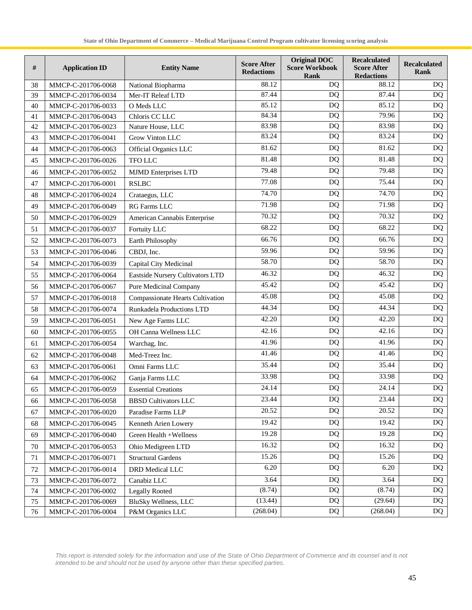| #  | <b>Application ID</b> | <b>Entity Name</b>               | <b>Score After</b><br><b>Redactions</b> | <b>Original DOC</b><br><b>Score Workbook</b><br><b>Rank</b> | <b>Recalculated</b><br><b>Score After</b><br><b>Redactions</b> | <b>Recalculated</b><br><b>Rank</b> |
|----|-----------------------|----------------------------------|-----------------------------------------|-------------------------------------------------------------|----------------------------------------------------------------|------------------------------------|
| 38 | MMCP-C-201706-0068    | National Biopharma               | 88.12                                   | <b>DQ</b>                                                   | 88.12                                                          | <b>DQ</b>                          |
| 39 | MMCP-C-201706-0034    | Mer-IT Releaf LTD                | 87.44                                   | <b>DQ</b>                                                   | 87.44                                                          | DQ                                 |
| 40 | MMCP-C-201706-0033    | O Meds LLC                       | 85.12                                   | <b>DQ</b>                                                   | 85.12                                                          | <b>DQ</b>                          |
| 41 | MMCP-C-201706-0043    | Chloris CC LLC                   | 84.34                                   | <b>DQ</b>                                                   | 79.96                                                          | <b>DQ</b>                          |
| 42 | MMCP-C-201706-0023    | Nature House, LLC                | 83.98                                   | DQ                                                          | 83.98                                                          | <b>DQ</b>                          |
| 43 | MMCP-C-201706-0041    | <b>Grow Vinton LLC</b>           | 83.24                                   | DQ                                                          | 83.24                                                          | <b>DQ</b>                          |
| 44 | MMCP-C-201706-0063    | Official Organics LLC            | 81.62                                   | <b>DQ</b>                                                   | 81.62                                                          | <b>DQ</b>                          |
| 45 | MMCP-C-201706-0026    | <b>TFO LLC</b>                   | 81.48                                   | DQ                                                          | 81.48                                                          | DQ                                 |
| 46 | MMCP-C-201706-0052    | <b>MJMD</b> Enterprises LTD      | 79.48                                   | <b>DQ</b>                                                   | 79.48                                                          | <b>DQ</b>                          |
| 47 | MMCP-C-201706-0001    | <b>RSLBC</b>                     | 77.08                                   | DQ                                                          | 75.44                                                          | <b>DQ</b>                          |
| 48 | MMCP-C-201706-0024    | Crataegus, LLC                   | 74.70                                   | <b>DQ</b>                                                   | 74.70                                                          | DQ                                 |
| 49 | MMCP-C-201706-0049    | <b>RG Farms LLC</b>              | 71.98                                   | DQ                                                          | 71.98                                                          | <b>DQ</b>                          |
| 50 | MMCP-C-201706-0029    | American Cannabis Enterprise     | 70.32                                   | DQ                                                          | 70.32                                                          | <b>DQ</b>                          |
| 51 | MMCP-C-201706-0037    | Fortuity LLC                     | 68.22                                   | DQ                                                          | 68.22                                                          | <b>DQ</b>                          |
| 52 | MMCP-C-201706-0073    | Earth Philosophy                 | 66.76                                   | <b>DQ</b>                                                   | 66.76                                                          | <b>DQ</b>                          |
| 53 | MMCP-C-201706-0046    | CBDJ, Inc.                       | 59.96                                   | <b>DQ</b>                                                   | 59.96                                                          | <b>DQ</b>                          |
| 54 | MMCP-C-201706-0039    | Capital City Medicinal           | 58.70                                   | <b>DQ</b>                                                   | 58.70                                                          | <b>DQ</b>                          |
| 55 | MMCP-C-201706-0064    | Eastside Nursery Cultivators LTD | 46.32                                   | <b>DQ</b>                                                   | 46.32                                                          | <b>DQ</b>                          |
| 56 | MMCP-C-201706-0067    | Pure Medicinal Company           | 45.42                                   | <b>DQ</b>                                                   | 45.42                                                          | <b>DQ</b>                          |
| 57 | MMCP-C-201706-0018    | Compassionate Hearts Cultivation | 45.08                                   | <b>DQ</b>                                                   | 45.08                                                          | <b>DQ</b>                          |
| 58 | MMCP-C-201706-0074    | Runkadela Productions LTD        | 44.34                                   | DQ                                                          | 44.34                                                          | <b>DQ</b>                          |
| 59 | MMCP-C-201706-0051    | New Age Farms LLC                | 42.20                                   | <b>DQ</b>                                                   | 42.20                                                          | <b>DQ</b>                          |
| 60 | MMCP-C-201706-0055    | OH Canna Wellness LLC            | 42.16                                   | DQ                                                          | 42.16                                                          | <b>DQ</b>                          |
| 61 | MMCP-C-201706-0054    | Warchag, Inc.                    | 41.96                                   | DQ                                                          | 41.96                                                          | DQ                                 |
| 62 | MMCP-C-201706-0048    | Med-Treez Inc.                   | 41.46                                   | DQ                                                          | 41.46                                                          | DQ                                 |
| 63 | MMCP-C-201706-0061    | Omni Farms LLC                   | 35.44                                   | DQ                                                          | 35.44                                                          | <b>DQ</b>                          |
| 64 | MMCP-C-201706-0062    | Ganja Farms LLC                  | 33.98                                   | <b>DQ</b>                                                   | 33.98                                                          | <b>DQ</b>                          |
| 65 | MMCP-C-201706-0059    | <b>Essential Creations</b>       | 24.14                                   | DQ                                                          | $\overline{2}4.14$                                             | DQ                                 |
| 66 | MMCP-C-201706-0058    | <b>BBSD Cultivators LLC</b>      | 23.44                                   | $\overline{DQ}$                                             | 23.44                                                          | DQ                                 |
| 67 | MMCP-C-201706-0020    | Paradise Farms LLP               | 20.52                                   | DQ                                                          | 20.52                                                          | <b>DQ</b>                          |
| 68 | MMCP-C-201706-0045    | Kenneth Arien Lowery             | 19.42                                   | DQ                                                          | 19.42                                                          | <b>DQ</b>                          |
| 69 | MMCP-C-201706-0040    | Green Health +Wellness           | 19.28                                   | DQ                                                          | 19.28                                                          | DQ                                 |
| 70 | MMCP-C-201706-0053    | Ohio Medigreen LTD               | 16.32                                   | DQ                                                          | 16.32                                                          | <b>DQ</b>                          |
| 71 | MMCP-C-201706-0071    | <b>Structural Gardens</b>        | 15.26                                   | DQ                                                          | 15.26                                                          | <b>DQ</b>                          |
| 72 | MMCP-C-201706-0014    | DRD Medical LLC                  | 6.20                                    | DQ                                                          | 6.20                                                           | DQ                                 |
| 73 | MMCP-C-201706-0072    | Canabiz LLC                      | 3.64                                    | DQ                                                          | 3.64                                                           | <b>DQ</b>                          |
| 74 | MMCP-C-201706-0002    | <b>Legally Rooted</b>            | (8.74)                                  | DQ                                                          | (8.74)                                                         | <b>DQ</b>                          |
| 75 | MMCP-C-201706-0069    | <b>BluSky Wellness, LLC</b>      | (13.44)                                 | DQ                                                          | (29.64)                                                        | DQ                                 |
| 76 | MMCP-C-201706-0004    | P&M Organics LLC                 | (268.04)                                | DQ                                                          | (268.04)                                                       | DQ                                 |